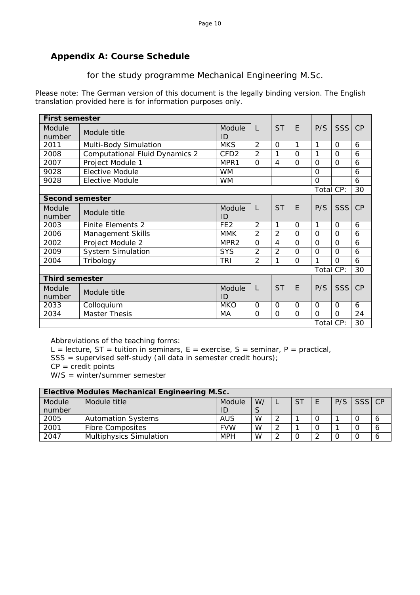## **Appendix A: Course Schedule**

for the study programme Mechanical Engineering M.Sc.

Please note: The German version of this document is the legally binding version. The English translation provided here is for information purposes only.

|                        | <b>First semester</b>                 |                  |                |                |                |           |            |    |
|------------------------|---------------------------------------|------------------|----------------|----------------|----------------|-----------|------------|----|
| Module<br>number       | Module title                          | Module<br>ID     | L              | <b>ST</b>      | E              | P/S       | SSS        | CP |
| 2011                   | Multi-Body Simulation                 | <b>MKS</b>       | 2              | $\Omega$       | 1              | 1         | $\Omega$   | 6  |
| 2008                   | <b>Computational Fluid Dynamics 2</b> | CFD <sub>2</sub> | $\mathcal{P}$  | 1              | $\Omega$       | 1         | $\Omega$   | 6  |
| 2007                   | Project Module 1                      | MPR1             | $\Omega$       | 4              | $\Omega$       | $\Omega$  | $\Omega$   | 6  |
| 9028                   | <b>Elective Module</b>                | <b>WM</b>        |                |                |                | $\Omega$  |            | 6  |
| 9028                   | <b>Elective Module</b><br><b>WM</b>   |                  |                |                |                | $\Omega$  |            | 6  |
|                        |                                       |                  |                |                |                | Total CP: |            | 30 |
| <b>Second semester</b> |                                       |                  |                |                |                |           |            |    |
| Module<br>number       | Module title                          | Module<br>ID     | L              | <b>ST</b>      | E              | P/S       | SSS        | CP |
| 2003                   | <b>Finite Elements 2</b>              | FE <sub>2</sub>  | 2              | 1              | $\Omega$       | 1         | $\Omega$   | 6  |
| 2006                   | Management Skills                     | <b>MMK</b>       | $\overline{2}$ | 2              | $\Omega$       | $\Omega$  | $\Omega$   | 6  |
| 2002                   | Project Module 2                      | MPR <sub>2</sub> | $\Omega$       | 4              | $\Omega$       | $\Omega$  | $\Omega$   | 6  |
| 2009                   | <b>System Simulation</b>              | <b>SYS</b>       | $\overline{2}$ | $\overline{2}$ | $\Omega$       | $\Omega$  | $\Omega$   | 6  |
| 2004                   | Tribology                             | <b>TRI</b>       | $\overline{2}$ | 1              | $\overline{O}$ | 1         | $\Omega$   | 6  |
|                        |                                       |                  |                |                |                | Total CP: |            | 30 |
| <b>Third semester</b>  |                                       |                  |                |                |                |           |            |    |
| Module<br>number       | Module title                          | Module<br>ID     | L              | <b>ST</b>      | E              | P/S       | <b>SSS</b> | CP |
| 2033                   | Colloquium                            | <b>MKO</b>       | $\Omega$       | O              | $\Omega$       | $\Omega$  | $\Omega$   | 6  |
| 2034                   | <b>Master Thesis</b>                  | МA               | $\Omega$       | $\Omega$       | $\Omega$       | $\Omega$  | $\Omega$   | 24 |
|                        |                                       |                  |                |                |                | Total CP: |            | 30 |

Abbreviations of the teaching forms:

L = lecture, ST = tuition in seminars, E = exercise, S = seminar, P = practical,

SSS = supervised self-study (all data in semester credit hours);

 $CP = credit points$ 

W/S = winter/summer semester

|        | <b>Elective Modules Mechanical Engineering M.Sc.</b> |            |    |        |     |  |              |   |
|--------|------------------------------------------------------|------------|----|--------|-----|--|--------------|---|
| Module | Module title                                         | Module     | W/ |        | -ST |  | $P/S$ SSS CP |   |
| number |                                                      | ID         | S  |        |     |  |              |   |
| 2005   | <b>Automation Systems</b>                            | <b>AUS</b> | W  | $\sim$ |     |  |              | 6 |
| 2001   | <b>Fibre Composites</b>                              | <b>FVW</b> | W  | ി      |     |  |              | 6 |
| 2047   | <b>Multiphysics Simulation</b>                       | <b>MPH</b> | W  | ി      |     |  |              | 6 |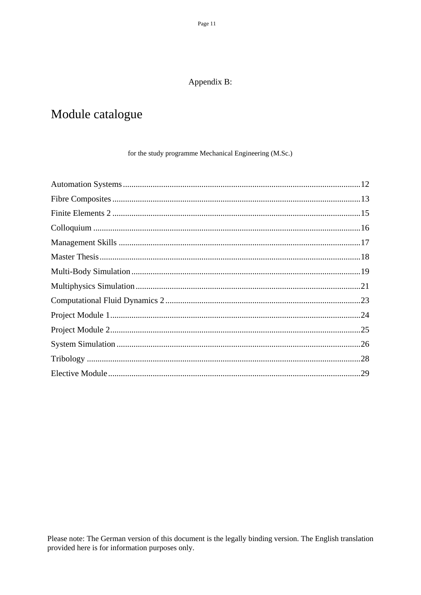## Appendix B:

# Module catalogue

### for the study programme Mechanical Engineering (M.Sc.)

Please note: The German version of this document is the legally binding version. The English translation provided here is for information purposes only.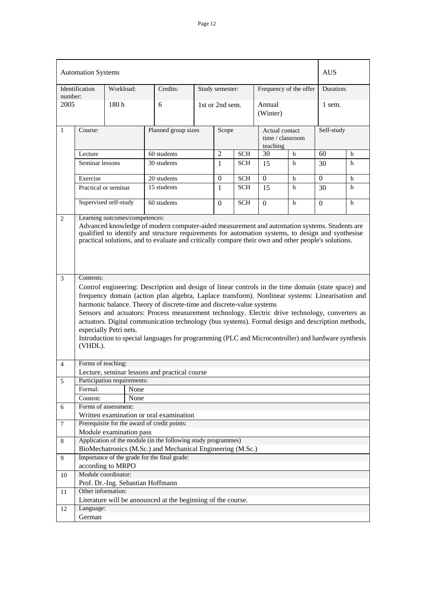|                | <b>Automation Systems</b>                                                                                                                                                                                                                                                                                                                                                                                                                                                                               |                                   |      |                                                                                                                                                                                                                                                                                                            |                  |                 |            |                            |                        | <b>AUS</b>       |   |
|----------------|---------------------------------------------------------------------------------------------------------------------------------------------------------------------------------------------------------------------------------------------------------------------------------------------------------------------------------------------------------------------------------------------------------------------------------------------------------------------------------------------------------|-----------------------------------|------|------------------------------------------------------------------------------------------------------------------------------------------------------------------------------------------------------------------------------------------------------------------------------------------------------------|------------------|-----------------|------------|----------------------------|------------------------|------------------|---|
| number:        | Identification                                                                                                                                                                                                                                                                                                                                                                                                                                                                                          | Workload:                         |      | Credits:                                                                                                                                                                                                                                                                                                   |                  | Study semester: |            |                            | Frequency of the offer | Duration:        |   |
| 2005           |                                                                                                                                                                                                                                                                                                                                                                                                                                                                                                         | 180h                              |      | 6                                                                                                                                                                                                                                                                                                          |                  | 1st or 2nd sem. |            | Annual<br>(Winter)         |                        | 1 sem.           |   |
| $\mathbf{1}$   | Course:                                                                                                                                                                                                                                                                                                                                                                                                                                                                                                 |                                   |      | Planned group sizes                                                                                                                                                                                                                                                                                        |                  | Scope           |            | Actual contact<br>teaching | time / classroom       | Self-study       |   |
|                | Lecture                                                                                                                                                                                                                                                                                                                                                                                                                                                                                                 |                                   |      | 60 students                                                                                                                                                                                                                                                                                                |                  | $\overline{2}$  | <b>SCH</b> | 30                         | h                      | 60               | h |
|                | Seminar lessons                                                                                                                                                                                                                                                                                                                                                                                                                                                                                         |                                   |      | 30 students                                                                                                                                                                                                                                                                                                |                  | 1               | <b>SCH</b> | 15                         | h                      | 30               | h |
|                | Exercise                                                                                                                                                                                                                                                                                                                                                                                                                                                                                                |                                   |      | 20 students                                                                                                                                                                                                                                                                                                |                  | $\mathbf{0}$    | <b>SCH</b> | $\mathbf{0}$               | h                      | $\boldsymbol{0}$ | h |
|                |                                                                                                                                                                                                                                                                                                                                                                                                                                                                                                         | Practical or seminar              |      | 15 students                                                                                                                                                                                                                                                                                                |                  | 1               | <b>SCH</b> | 15                         | h                      | 30               | h |
|                | Supervised self-study<br>60 students<br><b>SCH</b><br>$\Omega$<br>$\Omega$<br>h                                                                                                                                                                                                                                                                                                                                                                                                                         |                                   |      |                                                                                                                                                                                                                                                                                                            | $\boldsymbol{0}$ | h               |            |                            |                        |                  |   |
| $\overline{3}$ | qualified to identify and structure requirements for automation systems, to design and synthesise<br>practical solutions, and to evaluate and critically compare their own and other people's solutions.<br>Contents:<br>Control engineering: Description and design of linear controls in the time domain (state space) and<br>frequency domain (action plan algebra, Laplace transform). Nonlinear systems: Linearisation and<br>harmonic balance. Theory of discrete-time and discrete-value systems |                                   |      |                                                                                                                                                                                                                                                                                                            |                  |                 |            |                            |                        |                  |   |
|                | (VHDL).                                                                                                                                                                                                                                                                                                                                                                                                                                                                                                 | especially Petri nets.            |      | Sensors and actuators: Process measurement technology. Electric drive technology, converters as<br>actuators. Digital communication technology (bus systems). Formal design and description methods,<br>Introduction to special languages for programming (PLC and Microcontroller) and hardware synthesis |                  |                 |            |                            |                        |                  |   |
| 4              | Forms of teaching:                                                                                                                                                                                                                                                                                                                                                                                                                                                                                      |                                   |      |                                                                                                                                                                                                                                                                                                            |                  |                 |            |                            |                        |                  |   |
|                |                                                                                                                                                                                                                                                                                                                                                                                                                                                                                                         |                                   |      | Lecture, seminar lessons and practical course                                                                                                                                                                                                                                                              |                  |                 |            |                            |                        |                  |   |
| 5              | Formal:                                                                                                                                                                                                                                                                                                                                                                                                                                                                                                 | Participation requirements:       | None |                                                                                                                                                                                                                                                                                                            |                  |                 |            |                            |                        |                  |   |
|                | Content:                                                                                                                                                                                                                                                                                                                                                                                                                                                                                                |                                   | None |                                                                                                                                                                                                                                                                                                            |                  |                 |            |                            |                        |                  |   |
| 6              |                                                                                                                                                                                                                                                                                                                                                                                                                                                                                                         | Forms of assessment:              |      |                                                                                                                                                                                                                                                                                                            |                  |                 |            |                            |                        |                  |   |
|                |                                                                                                                                                                                                                                                                                                                                                                                                                                                                                                         |                                   |      | Written examination or oral examination                                                                                                                                                                                                                                                                    |                  |                 |            |                            |                        |                  |   |
| $\tau$         |                                                                                                                                                                                                                                                                                                                                                                                                                                                                                                         |                                   |      | Prerequisite for the award of credit points:                                                                                                                                                                                                                                                               |                  |                 |            |                            |                        |                  |   |
|                |                                                                                                                                                                                                                                                                                                                                                                                                                                                                                                         | Module examination pass           |      |                                                                                                                                                                                                                                                                                                            |                  |                 |            |                            |                        |                  |   |
| $\,8\,$        |                                                                                                                                                                                                                                                                                                                                                                                                                                                                                                         |                                   |      | Application of the module (in the following study programmes)                                                                                                                                                                                                                                              |                  |                 |            |                            |                        |                  |   |
| 9              |                                                                                                                                                                                                                                                                                                                                                                                                                                                                                                         |                                   |      | BioMechatronics (M.Sc.) and Mechanical Engineering (M.Sc.)<br>Importance of the grade for the final grade:                                                                                                                                                                                                 |                  |                 |            |                            |                        |                  |   |
|                |                                                                                                                                                                                                                                                                                                                                                                                                                                                                                                         | according to MRPO                 |      |                                                                                                                                                                                                                                                                                                            |                  |                 |            |                            |                        |                  |   |
| 10             |                                                                                                                                                                                                                                                                                                                                                                                                                                                                                                         | Module coordinator:               |      |                                                                                                                                                                                                                                                                                                            |                  |                 |            |                            |                        |                  |   |
|                | Other information:                                                                                                                                                                                                                                                                                                                                                                                                                                                                                      | Prof. Dr.-Ing. Sebastian Hoffmann |      |                                                                                                                                                                                                                                                                                                            |                  |                 |            |                            |                        |                  |   |
| 11             |                                                                                                                                                                                                                                                                                                                                                                                                                                                                                                         |                                   |      | Literature will be announced at the beginning of the course.                                                                                                                                                                                                                                               |                  |                 |            |                            |                        |                  |   |
| 12             | Language:<br>German                                                                                                                                                                                                                                                                                                                                                                                                                                                                                     |                                   |      |                                                                                                                                                                                                                                                                                                            |                  |                 |            |                            |                        |                  |   |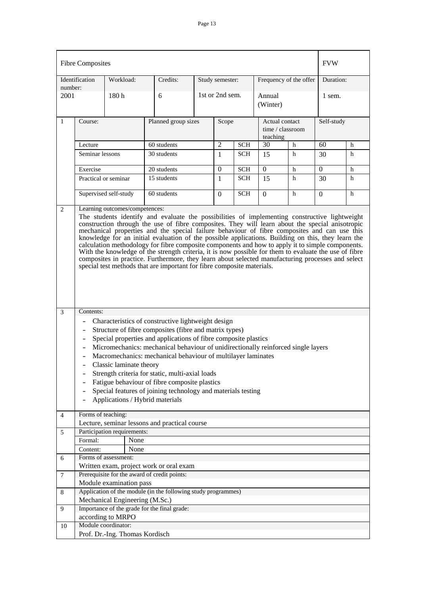|                 | <b>Fibre Composites</b>                                                                                                                                                                                                                                                                                                                                                                                                                                                                                                                                                                                                                                                                                                                                                                            |                  |                                |                                                               |  |                  |            |                                                |   | <b>FVW</b>     |   |
|-----------------|----------------------------------------------------------------------------------------------------------------------------------------------------------------------------------------------------------------------------------------------------------------------------------------------------------------------------------------------------------------------------------------------------------------------------------------------------------------------------------------------------------------------------------------------------------------------------------------------------------------------------------------------------------------------------------------------------------------------------------------------------------------------------------------------------|------------------|--------------------------------|---------------------------------------------------------------|--|------------------|------------|------------------------------------------------|---|----------------|---|
|                 | Identification                                                                                                                                                                                                                                                                                                                                                                                                                                                                                                                                                                                                                                                                                                                                                                                     | Workload:        |                                | Credits:                                                      |  | Study semester:  |            | Frequency of the offer                         |   | Duration:      |   |
| number:<br>2001 |                                                                                                                                                                                                                                                                                                                                                                                                                                                                                                                                                                                                                                                                                                                                                                                                    | 180 <sub>h</sub> |                                | 6                                                             |  | 1st or 2nd sem.  |            | Annual<br>(Winter)                             |   | 1 sem.         |   |
| 1               | Course:                                                                                                                                                                                                                                                                                                                                                                                                                                                                                                                                                                                                                                                                                                                                                                                            |                  |                                | Planned group sizes                                           |  | Scope            |            | Actual contact<br>time / classroom<br>teaching |   | Self-study     |   |
|                 | Lecture                                                                                                                                                                                                                                                                                                                                                                                                                                                                                                                                                                                                                                                                                                                                                                                            |                  |                                | 60 students                                                   |  | $\overline{2}$   | <b>SCH</b> | 30                                             | h | 60             | h |
|                 | Seminar lessons                                                                                                                                                                                                                                                                                                                                                                                                                                                                                                                                                                                                                                                                                                                                                                                    |                  |                                | 30 students                                                   |  | 1                | <b>SCH</b> | 15                                             | h | 30             | h |
|                 |                                                                                                                                                                                                                                                                                                                                                                                                                                                                                                                                                                                                                                                                                                                                                                                                    |                  |                                |                                                               |  |                  |            |                                                |   |                |   |
|                 | Exercise                                                                                                                                                                                                                                                                                                                                                                                                                                                                                                                                                                                                                                                                                                                                                                                           |                  |                                | 20 students                                                   |  | $\boldsymbol{0}$ | <b>SCH</b> | $\boldsymbol{0}$                               | h | $\overline{0}$ | h |
|                 | Practical or seminar                                                                                                                                                                                                                                                                                                                                                                                                                                                                                                                                                                                                                                                                                                                                                                               |                  |                                | 15 students                                                   |  | 1                | <b>SCH</b> | 15                                             | h | 30             | h |
|                 | Supervised self-study<br><b>SCH</b><br>60 students<br>h<br>$\Omega$<br>$\Omega$                                                                                                                                                                                                                                                                                                                                                                                                                                                                                                                                                                                                                                                                                                                    |                  |                                |                                                               |  | $\Omega$         | h          |                                                |   |                |   |
|                 | The students identify and evaluate the possibilities of implementing constructive lightweight<br>construction through the use of fibre composites. They will learn about the special anisotropic<br>mechanical properties and the special failure behaviour of fibre composites and can use this<br>knowledge for an initial evaluation of the possible applications. Building on this, they learn the<br>calculation methodology for fibre composite components and how to apply it to simple components.<br>With the knowledge of the strength criteria, it is now possible for them to evaluate the use of fibre<br>composites in practice. Furthermore, they learn about selected manufacturing processes and select<br>special test methods that are important for fibre composite materials. |                  |                                |                                                               |  |                  |            |                                                |   |                |   |
| 3               | Contents:                                                                                                                                                                                                                                                                                                                                                                                                                                                                                                                                                                                                                                                                                                                                                                                          |                  |                                |                                                               |  |                  |            |                                                |   |                |   |
|                 | Characteristics of constructive lightweight design<br>Structure of fibre composites (fibre and matrix types)<br>Special properties and applications of fibre composite plastics<br>Micromechanics: mechanical behaviour of unidirectionally reinforced single layers<br>Macromechanics: mechanical behaviour of multilayer laminates<br>Classic laminate theory<br>Strength criteria for static, multi-axial loads<br>Fatigue behaviour of fibre composite plastics<br>Special features of joining technology and materials testing<br>$\qquad \qquad -$<br>Applications / Hybrid materials                                                                                                                                                                                                        |                  |                                |                                                               |  |                  |            |                                                |   |                |   |
| 4               | Forms of teaching:                                                                                                                                                                                                                                                                                                                                                                                                                                                                                                                                                                                                                                                                                                                                                                                 |                  |                                |                                                               |  |                  |            |                                                |   |                |   |
| 5               | Participation requirements:                                                                                                                                                                                                                                                                                                                                                                                                                                                                                                                                                                                                                                                                                                                                                                        |                  |                                | Lecture, seminar lessons and practical course                 |  |                  |            |                                                |   |                |   |
|                 | Formal:                                                                                                                                                                                                                                                                                                                                                                                                                                                                                                                                                                                                                                                                                                                                                                                            |                  | None                           |                                                               |  |                  |            |                                                |   |                |   |
|                 | Content:                                                                                                                                                                                                                                                                                                                                                                                                                                                                                                                                                                                                                                                                                                                                                                                           |                  | None                           |                                                               |  |                  |            |                                                |   |                |   |
| 6               | Forms of assessment:                                                                                                                                                                                                                                                                                                                                                                                                                                                                                                                                                                                                                                                                                                                                                                               |                  |                                |                                                               |  |                  |            |                                                |   |                |   |
|                 |                                                                                                                                                                                                                                                                                                                                                                                                                                                                                                                                                                                                                                                                                                                                                                                                    |                  |                                | Written exam, project work or oral exam                       |  |                  |            |                                                |   |                |   |
| $\tau$          |                                                                                                                                                                                                                                                                                                                                                                                                                                                                                                                                                                                                                                                                                                                                                                                                    |                  |                                | Prerequisite for the award of credit points:                  |  |                  |            |                                                |   |                |   |
|                 |                                                                                                                                                                                                                                                                                                                                                                                                                                                                                                                                                                                                                                                                                                                                                                                                    |                  | Module examination pass        |                                                               |  |                  |            |                                                |   |                |   |
| 8               |                                                                                                                                                                                                                                                                                                                                                                                                                                                                                                                                                                                                                                                                                                                                                                                                    |                  |                                | Application of the module (in the following study programmes) |  |                  |            |                                                |   |                |   |
|                 |                                                                                                                                                                                                                                                                                                                                                                                                                                                                                                                                                                                                                                                                                                                                                                                                    |                  | Mechanical Engineering (M.Sc.) | Importance of the grade for the final grade:                  |  |                  |            |                                                |   |                |   |
| 9               | according to MRPO                                                                                                                                                                                                                                                                                                                                                                                                                                                                                                                                                                                                                                                                                                                                                                                  |                  |                                |                                                               |  |                  |            |                                                |   |                |   |
| 10              | Module coordinator:                                                                                                                                                                                                                                                                                                                                                                                                                                                                                                                                                                                                                                                                                                                                                                                |                  |                                |                                                               |  |                  |            |                                                |   |                |   |
|                 | Prof. Dr.-Ing. Thomas Kordisch                                                                                                                                                                                                                                                                                                                                                                                                                                                                                                                                                                                                                                                                                                                                                                     |                  |                                |                                                               |  |                  |            |                                                |   |                |   |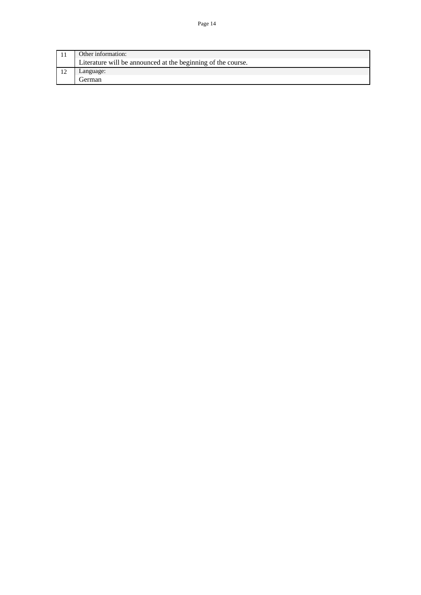| Other information:                                           |
|--------------------------------------------------------------|
| Literature will be announced at the beginning of the course. |
| _anguage:                                                    |
| l ierman                                                     |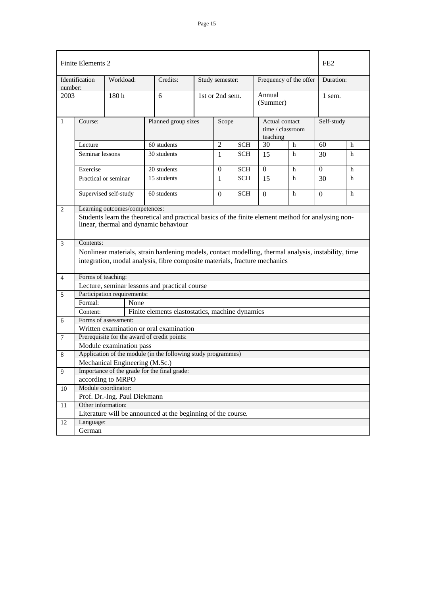| Finite Elements 2 |                                                                                                                                              |                                |                                                                                                                                                                                    |  |                 |            |                            | FE <sub>2</sub>        |            |   |
|-------------------|----------------------------------------------------------------------------------------------------------------------------------------------|--------------------------------|------------------------------------------------------------------------------------------------------------------------------------------------------------------------------------|--|-----------------|------------|----------------------------|------------------------|------------|---|
| number:           | Identification                                                                                                                               | Workload:                      | Credits:                                                                                                                                                                           |  | Study semester: |            |                            | Frequency of the offer | Duration:  |   |
| 2003              |                                                                                                                                              | 180h                           | 6                                                                                                                                                                                  |  | 1st or 2nd sem. |            | Annual<br>(Summer)         |                        | 1 sem.     |   |
| 1                 | Course:                                                                                                                                      |                                | Planned group sizes                                                                                                                                                                |  | Scope           |            | Actual contact<br>teaching | time / classroom       | Self-study |   |
|                   | Lecture                                                                                                                                      |                                | 60 students                                                                                                                                                                        |  | $\mathfrak{2}$  | <b>SCH</b> | 30                         | h                      | 60         | h |
|                   | Seminar lessons                                                                                                                              |                                | 30 students                                                                                                                                                                        |  | $\mathbf{1}$    | SCH        | 15                         | h                      | 30         | h |
|                   | Exercise                                                                                                                                     |                                | 20 students                                                                                                                                                                        |  | $\mathbf{0}$    | <b>SCH</b> | $\Omega$                   | h                      | $\theta$   | h |
|                   | Practical or seminar                                                                                                                         |                                | 15 students                                                                                                                                                                        |  | $\mathbf{1}$    | <b>SCH</b> | 15                         | h                      | 30         | h |
|                   | Supervised self-study<br>60 students<br><b>SCH</b><br>h<br>h<br>$\Omega$<br>$\Omega$<br>$\overline{0}$                                       |                                |                                                                                                                                                                                    |  |                 |            |                            |                        |            |   |
| 2                 |                                                                                                                                              | Learning outcomes/competences: |                                                                                                                                                                                    |  |                 |            |                            |                        |            |   |
|                   | Students learn the theoretical and practical basics of the finite element method for analysing non-<br>linear, thermal and dynamic behaviour |                                |                                                                                                                                                                                    |  |                 |            |                            |                        |            |   |
| 3                 | Contents:                                                                                                                                    |                                |                                                                                                                                                                                    |  |                 |            |                            |                        |            |   |
|                   |                                                                                                                                              |                                | Nonlinear materials, strain hardening models, contact modelling, thermal analysis, instability, time<br>integration, modal analysis, fibre composite materials, fracture mechanics |  |                 |            |                            |                        |            |   |
| $\overline{4}$    | Forms of teaching:                                                                                                                           |                                |                                                                                                                                                                                    |  |                 |            |                            |                        |            |   |
|                   |                                                                                                                                              |                                | Lecture, seminar lessons and practical course                                                                                                                                      |  |                 |            |                            |                        |            |   |
| 5                 |                                                                                                                                              | Participation requirements:    |                                                                                                                                                                                    |  |                 |            |                            |                        |            |   |
|                   | Formal:                                                                                                                                      | None                           |                                                                                                                                                                                    |  |                 |            |                            |                        |            |   |
|                   | Content:                                                                                                                                     |                                | Finite elements elastostatics, machine dynamics                                                                                                                                    |  |                 |            |                            |                        |            |   |
| 6                 |                                                                                                                                              | Forms of assessment:           |                                                                                                                                                                                    |  |                 |            |                            |                        |            |   |
|                   |                                                                                                                                              |                                | Written examination or oral examination                                                                                                                                            |  |                 |            |                            |                        |            |   |
| 7                 |                                                                                                                                              |                                | Prerequisite for the award of credit points:                                                                                                                                       |  |                 |            |                            |                        |            |   |
|                   |                                                                                                                                              | Module examination pass        |                                                                                                                                                                                    |  |                 |            |                            |                        |            |   |
| 8                 |                                                                                                                                              |                                | Application of the module (in the following study programmes)                                                                                                                      |  |                 |            |                            |                        |            |   |
|                   |                                                                                                                                              | Mechanical Engineering (M.Sc.) |                                                                                                                                                                                    |  |                 |            |                            |                        |            |   |
| 9                 | Importance of the grade for the final grade:                                                                                                 |                                |                                                                                                                                                                                    |  |                 |            |                            |                        |            |   |
|                   | according to MRPO<br>Module coordinator:                                                                                                     |                                |                                                                                                                                                                                    |  |                 |            |                            |                        |            |   |
| 10                |                                                                                                                                              |                                |                                                                                                                                                                                    |  |                 |            |                            |                        |            |   |
|                   | Prof. Dr.-Ing. Paul Diekmann<br>Other information:                                                                                           |                                |                                                                                                                                                                                    |  |                 |            |                            |                        |            |   |
| 11                |                                                                                                                                              |                                |                                                                                                                                                                                    |  |                 |            |                            |                        |            |   |
| 12                | Language:                                                                                                                                    |                                | Literature will be announced at the beginning of the course.                                                                                                                       |  |                 |            |                            |                        |            |   |
|                   | German                                                                                                                                       |                                |                                                                                                                                                                                    |  |                 |            |                            |                        |            |   |
|                   |                                                                                                                                              |                                |                                                                                                                                                                                    |  |                 |            |                            |                        |            |   |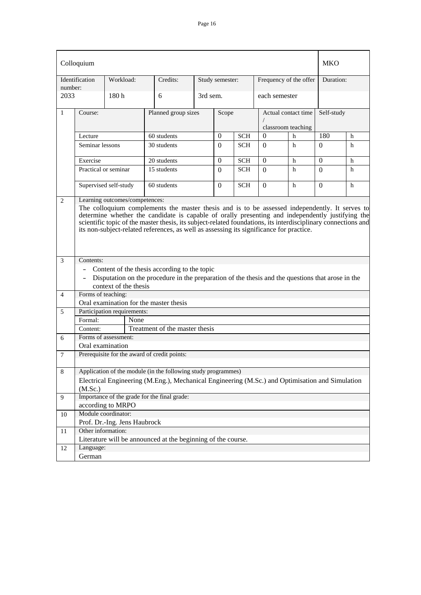|                     | Colloquium                                                                                                                                                                                                                                                                                                                                                                                                     |                              |                                                                                                                                                                  |          |                 |            |               |                                           | MKO        |   |
|---------------------|----------------------------------------------------------------------------------------------------------------------------------------------------------------------------------------------------------------------------------------------------------------------------------------------------------------------------------------------------------------------------------------------------------------|------------------------------|------------------------------------------------------------------------------------------------------------------------------------------------------------------|----------|-----------------|------------|---------------|-------------------------------------------|------------|---|
| number:             | Identification                                                                                                                                                                                                                                                                                                                                                                                                 | Workload:                    | Credits:                                                                                                                                                         |          | Study semester: |            |               | Frequency of the offer                    | Duration:  |   |
| 2033                |                                                                                                                                                                                                                                                                                                                                                                                                                | 180 <sub>h</sub>             | 6                                                                                                                                                                | 3rd sem. |                 |            | each semester |                                           |            |   |
| $\mathbf{1}$        | Course:                                                                                                                                                                                                                                                                                                                                                                                                        |                              | Planned group sizes                                                                                                                                              |          | Scope           |            |               | Actual contact time<br>classroom teaching | Self-study |   |
|                     | Lecture                                                                                                                                                                                                                                                                                                                                                                                                        |                              | 60 students                                                                                                                                                      |          | $\overline{0}$  | <b>SCH</b> | $\theta$      | h                                         | 180        | h |
|                     | Seminar lessons                                                                                                                                                                                                                                                                                                                                                                                                |                              | 30 students                                                                                                                                                      |          | $\Omega$        | <b>SCH</b> | $\Omega$      | h                                         | $\Omega$   | h |
|                     | Exercise                                                                                                                                                                                                                                                                                                                                                                                                       |                              | 20 students                                                                                                                                                      |          | $\mathbf{0}$    | <b>SCH</b> | $\Omega$      | h                                         | $\Omega$   | h |
|                     | 15 students<br><b>SCH</b><br>Practical or seminar<br>$\Omega$<br>$\Omega$                                                                                                                                                                                                                                                                                                                                      |                              |                                                                                                                                                                  |          |                 | h          | $\Omega$      | h                                         |            |   |
|                     | Supervised self-study<br>60 students<br><b>SCH</b><br>h<br>$\Omega$<br>$\Omega$                                                                                                                                                                                                                                                                                                                                |                              |                                                                                                                                                                  |          |                 |            | $\Omega$      | h                                         |            |   |
|                     | The colloquium complements the master thesis and is to be assessed independently. It serves to<br>determine whether the candidate is capable of orally presenting and independently justifying the<br>scientific topic of the master thesis, its subject-related foundations, its interdisciplinary connections and<br>its non-subject-related references, as well as assessing its significance for practice. |                              |                                                                                                                                                                  |          |                 |            |               |                                           |            |   |
| 3<br>$\overline{4}$ | Contents:<br>$\qquad \qquad \blacksquare$<br>$\overline{\phantom{a}}$<br>Forms of teaching:                                                                                                                                                                                                                                                                                                                    | context of the thesis        | Content of the thesis according to the topic<br>Disputation on the procedure in the preparation of the thesis and the questions that arose in the                |          |                 |            |               |                                           |            |   |
|                     |                                                                                                                                                                                                                                                                                                                                                                                                                |                              | Oral examination for the master thesis                                                                                                                           |          |                 |            |               |                                           |            |   |
| 5                   |                                                                                                                                                                                                                                                                                                                                                                                                                | Participation requirements:  |                                                                                                                                                                  |          |                 |            |               |                                           |            |   |
|                     | Formal:                                                                                                                                                                                                                                                                                                                                                                                                        | None                         |                                                                                                                                                                  |          |                 |            |               |                                           |            |   |
|                     | Content:                                                                                                                                                                                                                                                                                                                                                                                                       |                              | Treatment of the master thesis                                                                                                                                   |          |                 |            |               |                                           |            |   |
| 6                   |                                                                                                                                                                                                                                                                                                                                                                                                                | Forms of assessment:         |                                                                                                                                                                  |          |                 |            |               |                                           |            |   |
|                     | Oral examination                                                                                                                                                                                                                                                                                                                                                                                               |                              |                                                                                                                                                                  |          |                 |            |               |                                           |            |   |
| 7                   |                                                                                                                                                                                                                                                                                                                                                                                                                |                              | Prerequisite for the award of credit points:                                                                                                                     |          |                 |            |               |                                           |            |   |
| $\,8\,$             | (M.Sc.)                                                                                                                                                                                                                                                                                                                                                                                                        |                              | Application of the module (in the following study programmes)<br>Electrical Engineering (M.Eng.), Mechanical Engineering (M.Sc.) and Optimisation and Simulation |          |                 |            |               |                                           |            |   |
| 9                   |                                                                                                                                                                                                                                                                                                                                                                                                                |                              | Importance of the grade for the final grade:                                                                                                                     |          |                 |            |               |                                           |            |   |
|                     |                                                                                                                                                                                                                                                                                                                                                                                                                | according to MRPO            |                                                                                                                                                                  |          |                 |            |               |                                           |            |   |
| 10                  |                                                                                                                                                                                                                                                                                                                                                                                                                | Module coordinator:          |                                                                                                                                                                  |          |                 |            |               |                                           |            |   |
|                     | Other information:                                                                                                                                                                                                                                                                                                                                                                                             | Prof. Dr.-Ing. Jens Haubrock |                                                                                                                                                                  |          |                 |            |               |                                           |            |   |
| 11                  |                                                                                                                                                                                                                                                                                                                                                                                                                |                              | Literature will be announced at the beginning of the course.                                                                                                     |          |                 |            |               |                                           |            |   |
| 12                  | Language:                                                                                                                                                                                                                                                                                                                                                                                                      |                              |                                                                                                                                                                  |          |                 |            |               |                                           |            |   |
|                     | German                                                                                                                                                                                                                                                                                                                                                                                                         |                              |                                                                                                                                                                  |          |                 |            |               |                                           |            |   |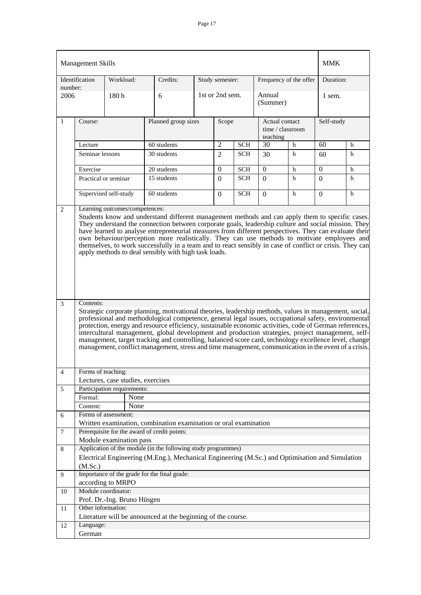|                 | <b>Management Skills</b>                                                                                                                                                                                                                                                                                                                                                                                                                                                                     |                                          |                                                                                                                                                                                                                                                                                                                                                                                                                                                                                                                                                                                                                                                 |  |                 |            |                                                |                        | <b>MMK</b>       |   |
|-----------------|----------------------------------------------------------------------------------------------------------------------------------------------------------------------------------------------------------------------------------------------------------------------------------------------------------------------------------------------------------------------------------------------------------------------------------------------------------------------------------------------|------------------------------------------|-------------------------------------------------------------------------------------------------------------------------------------------------------------------------------------------------------------------------------------------------------------------------------------------------------------------------------------------------------------------------------------------------------------------------------------------------------------------------------------------------------------------------------------------------------------------------------------------------------------------------------------------------|--|-----------------|------------|------------------------------------------------|------------------------|------------------|---|
|                 | Identification                                                                                                                                                                                                                                                                                                                                                                                                                                                                               | Workload:                                | Credits:                                                                                                                                                                                                                                                                                                                                                                                                                                                                                                                                                                                                                                        |  | Study semester: |            |                                                | Frequency of the offer | Duration:        |   |
| number:<br>2006 |                                                                                                                                                                                                                                                                                                                                                                                                                                                                                              | 180h                                     | 6                                                                                                                                                                                                                                                                                                                                                                                                                                                                                                                                                                                                                                               |  | 1st or 2nd sem. |            | Annual<br>(Summer)                             |                        | 1 sem.           |   |
| 1               | Course:                                                                                                                                                                                                                                                                                                                                                                                                                                                                                      |                                          | Planned group sizes                                                                                                                                                                                                                                                                                                                                                                                                                                                                                                                                                                                                                             |  | Scope           |            | Actual contact<br>time / classroom<br>teaching |                        | Self-study       |   |
|                 | Lecture                                                                                                                                                                                                                                                                                                                                                                                                                                                                                      |                                          | 60 students                                                                                                                                                                                                                                                                                                                                                                                                                                                                                                                                                                                                                                     |  | $\mathbf{2}$    | <b>SCH</b> | 30                                             | h                      | 60               | h |
|                 | Seminar lessons                                                                                                                                                                                                                                                                                                                                                                                                                                                                              |                                          | 30 students                                                                                                                                                                                                                                                                                                                                                                                                                                                                                                                                                                                                                                     |  | $\overline{2}$  | <b>SCH</b> | 30                                             | h                      | 60               | h |
|                 |                                                                                                                                                                                                                                                                                                                                                                                                                                                                                              |                                          |                                                                                                                                                                                                                                                                                                                                                                                                                                                                                                                                                                                                                                                 |  |                 |            |                                                |                        |                  |   |
|                 | Exercise                                                                                                                                                                                                                                                                                                                                                                                                                                                                                     |                                          | 20 students                                                                                                                                                                                                                                                                                                                                                                                                                                                                                                                                                                                                                                     |  | $\mathbf{0}$    | <b>SCH</b> | $\mathbf{0}$                                   | $\mathbf h$            | $\boldsymbol{0}$ | h |
|                 | Practical or seminar<br>15 students<br><b>SCH</b><br>$\Omega$<br>$\Omega$                                                                                                                                                                                                                                                                                                                                                                                                                    |                                          |                                                                                                                                                                                                                                                                                                                                                                                                                                                                                                                                                                                                                                                 |  | h               | $\Omega$   | h                                              |                        |                  |   |
|                 |                                                                                                                                                                                                                                                                                                                                                                                                                                                                                              | Supervised self-study                    | 60 students                                                                                                                                                                                                                                                                                                                                                                                                                                                                                                                                                                                                                                     |  | 0               | <b>SCH</b> | $\overline{0}$                                 | h                      | $\Omega$         | h |
| $\overline{3}$  | They understand the connection between corporate goals, leadership culture and social mission. They<br>have learned to analyse entrepreneurial measures from different perspectives. They can evaluate their<br>own behaviour/perception more realistically. They can use methods to motivate employees and<br>themselves, to work successfully in a team and to react sensibly in case of conflict or crisis. They can<br>apply methods to deal sensibly with high task loads.<br>Contents: |                                          |                                                                                                                                                                                                                                                                                                                                                                                                                                                                                                                                                                                                                                                 |  |                 |            |                                                |                        |                  |   |
|                 |                                                                                                                                                                                                                                                                                                                                                                                                                                                                                              |                                          | Strategic corporate planning, motivational theories, leadership methods, values in management, social,<br>professional and methodological competence, general legal issues, occupational safety, environmental<br>protection, energy and resource efficiency, sustainable economic activities, code of German references,<br>intercultural management, global development and production strategies, project management, self-<br>management, target tracking and controlling, balanced score card, technology excellence level, change<br>management, conflict management, stress and time management, communication in the event of a crisis. |  |                 |            |                                                |                        |                  |   |
| $\overline{4}$  | Forms of teaching:                                                                                                                                                                                                                                                                                                                                                                                                                                                                           |                                          |                                                                                                                                                                                                                                                                                                                                                                                                                                                                                                                                                                                                                                                 |  |                 |            |                                                |                        |                  |   |
|                 |                                                                                                                                                                                                                                                                                                                                                                                                                                                                                              | Lectures, case studies, exercises        |                                                                                                                                                                                                                                                                                                                                                                                                                                                                                                                                                                                                                                                 |  |                 |            |                                                |                        |                  |   |
| 5               |                                                                                                                                                                                                                                                                                                                                                                                                                                                                                              | Participation requirements:              |                                                                                                                                                                                                                                                                                                                                                                                                                                                                                                                                                                                                                                                 |  |                 |            |                                                |                        |                  |   |
|                 | Formal:<br>Content:                                                                                                                                                                                                                                                                                                                                                                                                                                                                          | None<br>None                             |                                                                                                                                                                                                                                                                                                                                                                                                                                                                                                                                                                                                                                                 |  |                 |            |                                                |                        |                  |   |
| 6               |                                                                                                                                                                                                                                                                                                                                                                                                                                                                                              | Forms of assessment:                     |                                                                                                                                                                                                                                                                                                                                                                                                                                                                                                                                                                                                                                                 |  |                 |            |                                                |                        |                  |   |
|                 |                                                                                                                                                                                                                                                                                                                                                                                                                                                                                              |                                          | Written examination, combination examination or oral examination                                                                                                                                                                                                                                                                                                                                                                                                                                                                                                                                                                                |  |                 |            |                                                |                        |                  |   |
| $\tau$          |                                                                                                                                                                                                                                                                                                                                                                                                                                                                                              |                                          | Prerequisite for the award of credit points:                                                                                                                                                                                                                                                                                                                                                                                                                                                                                                                                                                                                    |  |                 |            |                                                |                        |                  |   |
|                 |                                                                                                                                                                                                                                                                                                                                                                                                                                                                                              | Module examination pass                  |                                                                                                                                                                                                                                                                                                                                                                                                                                                                                                                                                                                                                                                 |  |                 |            |                                                |                        |                  |   |
| $8\,$           |                                                                                                                                                                                                                                                                                                                                                                                                                                                                                              |                                          | Application of the module (in the following study programmes)                                                                                                                                                                                                                                                                                                                                                                                                                                                                                                                                                                                   |  |                 |            |                                                |                        |                  |   |
|                 |                                                                                                                                                                                                                                                                                                                                                                                                                                                                                              |                                          | Electrical Engineering (M.Eng.), Mechanical Engineering (M.Sc.) and Optimisation and Simulation                                                                                                                                                                                                                                                                                                                                                                                                                                                                                                                                                 |  |                 |            |                                                |                        |                  |   |
|                 | (M.Sc.)                                                                                                                                                                                                                                                                                                                                                                                                                                                                                      |                                          |                                                                                                                                                                                                                                                                                                                                                                                                                                                                                                                                                                                                                                                 |  |                 |            |                                                |                        |                  |   |
| 9               |                                                                                                                                                                                                                                                                                                                                                                                                                                                                                              |                                          | Importance of the grade for the final grade:                                                                                                                                                                                                                                                                                                                                                                                                                                                                                                                                                                                                    |  |                 |            |                                                |                        |                  |   |
|                 |                                                                                                                                                                                                                                                                                                                                                                                                                                                                                              | according to MRPO<br>Module coordinator: |                                                                                                                                                                                                                                                                                                                                                                                                                                                                                                                                                                                                                                                 |  |                 |            |                                                |                        |                  |   |
| 10              |                                                                                                                                                                                                                                                                                                                                                                                                                                                                                              |                                          |                                                                                                                                                                                                                                                                                                                                                                                                                                                                                                                                                                                                                                                 |  |                 |            |                                                |                        |                  |   |
| 11              | Other information:                                                                                                                                                                                                                                                                                                                                                                                                                                                                           | Prof. Dr.-Ing. Bruno Hüsgen              |                                                                                                                                                                                                                                                                                                                                                                                                                                                                                                                                                                                                                                                 |  |                 |            |                                                |                        |                  |   |
|                 |                                                                                                                                                                                                                                                                                                                                                                                                                                                                                              |                                          | Literature will be announced at the beginning of the course.                                                                                                                                                                                                                                                                                                                                                                                                                                                                                                                                                                                    |  |                 |            |                                                |                        |                  |   |
| 12              | Language:                                                                                                                                                                                                                                                                                                                                                                                                                                                                                    |                                          |                                                                                                                                                                                                                                                                                                                                                                                                                                                                                                                                                                                                                                                 |  |                 |            |                                                |                        |                  |   |
|                 | German                                                                                                                                                                                                                                                                                                                                                                                                                                                                                       |                                          |                                                                                                                                                                                                                                                                                                                                                                                                                                                                                                                                                                                                                                                 |  |                 |            |                                                |                        |                  |   |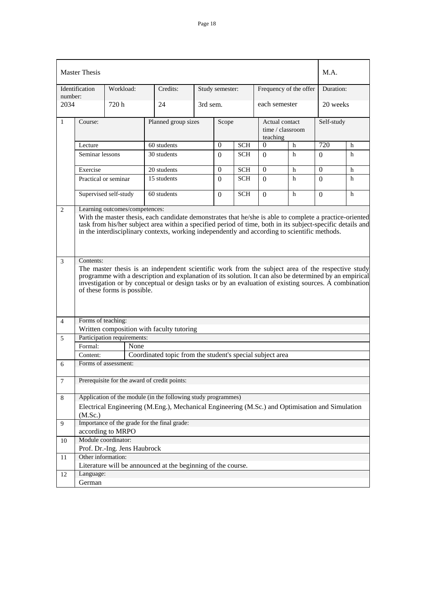|                | <b>Master Thesis</b>                                                                                                                                                                                                                                                                                                                                              |                              |                                                                                                 |          |                  |            |                            |                        | M.A.           |   |
|----------------|-------------------------------------------------------------------------------------------------------------------------------------------------------------------------------------------------------------------------------------------------------------------------------------------------------------------------------------------------------------------|------------------------------|-------------------------------------------------------------------------------------------------|----------|------------------|------------|----------------------------|------------------------|----------------|---|
| number:        | Identification                                                                                                                                                                                                                                                                                                                                                    | Workload:                    | Credits:                                                                                        |          | Study semester:  |            |                            | Frequency of the offer | Duration:      |   |
| 2034           |                                                                                                                                                                                                                                                                                                                                                                   | 720 h                        | 24                                                                                              | 3rd sem. |                  |            | each semester              |                        | 20 weeks       |   |
| 1              | Course:                                                                                                                                                                                                                                                                                                                                                           |                              | Planned group sizes                                                                             |          | Scope            |            | Actual contact<br>teaching | time / classroom       | Self-study     |   |
|                | Lecture                                                                                                                                                                                                                                                                                                                                                           |                              | 60 students                                                                                     |          | $\boldsymbol{0}$ | <b>SCH</b> | $\boldsymbol{0}$           | h                      | 720            | h |
|                | Seminar lessons                                                                                                                                                                                                                                                                                                                                                   |                              | 30 students                                                                                     |          | $\Omega$         | <b>SCH</b> | $\Omega$                   | h                      | $\Omega$       | h |
|                | Exercise                                                                                                                                                                                                                                                                                                                                                          |                              | 20 students                                                                                     |          | $\mathbf{0}$     | <b>SCH</b> | $\overline{0}$             | h                      | $\overline{0}$ | h |
|                |                                                                                                                                                                                                                                                                                                                                                                   | Practical or seminar         | 15 students                                                                                     |          | $\Omega$         | <b>SCH</b> | $\Omega$                   | h                      | $\Omega$       | h |
|                | Supervised self-study<br>60 students<br><b>SCH</b><br>h<br>$\Omega$<br>$\Omega$                                                                                                                                                                                                                                                                                   |                              |                                                                                                 |          |                  | $\Omega$   | h                          |                        |                |   |
| 2              | Learning outcomes/competences:<br>With the master thesis, each candidate demonstrates that he/she is able to complete a practice-oriented<br>task from his/her subject area within a specified period of time, both in its subject-specific details and<br>in the interdisciplinary contexts, working independently and according to scientific methods.          |                              |                                                                                                 |          |                  |            |                            |                        |                |   |
| 3              | Contents:<br>The master thesis is an independent scientific work from the subject area of the respective study<br>programme with a description and explanation of its solution. It can also be determined by an empirical<br>investigation or by conceptual or design tasks or by an evaluation of existing sources. A combination<br>of these forms is possible. |                              |                                                                                                 |          |                  |            |                            |                        |                |   |
| $\overline{4}$ | Forms of teaching:                                                                                                                                                                                                                                                                                                                                                |                              |                                                                                                 |          |                  |            |                            |                        |                |   |
|                |                                                                                                                                                                                                                                                                                                                                                                   |                              | Written composition with faculty tutoring                                                       |          |                  |            |                            |                        |                |   |
| 5              |                                                                                                                                                                                                                                                                                                                                                                   | Participation requirements:  |                                                                                                 |          |                  |            |                            |                        |                |   |
|                | Formal:                                                                                                                                                                                                                                                                                                                                                           | None                         |                                                                                                 |          |                  |            |                            |                        |                |   |
|                | Content:                                                                                                                                                                                                                                                                                                                                                          |                              | Coordinated topic from the student's special subject area                                       |          |                  |            |                            |                        |                |   |
| 6              |                                                                                                                                                                                                                                                                                                                                                                   | Forms of assessment:         |                                                                                                 |          |                  |            |                            |                        |                |   |
| $\tau$         |                                                                                                                                                                                                                                                                                                                                                                   |                              | Prerequisite for the award of credit points:                                                    |          |                  |            |                            |                        |                |   |
| $\,8$          |                                                                                                                                                                                                                                                                                                                                                                   |                              | Application of the module (in the following study programmes)                                   |          |                  |            |                            |                        |                |   |
|                |                                                                                                                                                                                                                                                                                                                                                                   |                              | Electrical Engineering (M.Eng.), Mechanical Engineering (M.Sc.) and Optimisation and Simulation |          |                  |            |                            |                        |                |   |
|                | (M.Sc.)                                                                                                                                                                                                                                                                                                                                                           |                              |                                                                                                 |          |                  |            |                            |                        |                |   |
| 9              |                                                                                                                                                                                                                                                                                                                                                                   |                              | Importance of the grade for the final grade:                                                    |          |                  |            |                            |                        |                |   |
|                |                                                                                                                                                                                                                                                                                                                                                                   | according to MRPO            |                                                                                                 |          |                  |            |                            |                        |                |   |
| 10             |                                                                                                                                                                                                                                                                                                                                                                   | Module coordinator:          |                                                                                                 |          |                  |            |                            |                        |                |   |
|                | Other information:                                                                                                                                                                                                                                                                                                                                                | Prof. Dr.-Ing. Jens Haubrock |                                                                                                 |          |                  |            |                            |                        |                |   |
| 11             |                                                                                                                                                                                                                                                                                                                                                                   |                              | Literature will be announced at the beginning of the course.                                    |          |                  |            |                            |                        |                |   |
| 12             | Language:                                                                                                                                                                                                                                                                                                                                                         |                              |                                                                                                 |          |                  |            |                            |                        |                |   |
|                | German                                                                                                                                                                                                                                                                                                                                                            |                              |                                                                                                 |          |                  |            |                            |                        |                |   |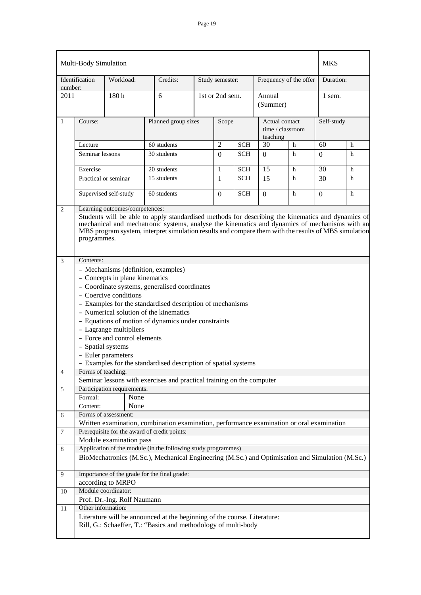|         | Multi-Body Simulation                                                                                                                                                                                                                                                                                                                                                                                                                                                                           |                             |                                                                                                                                           |  |                 |                          |                                                |                        | <b>MKS</b> |        |
|---------|-------------------------------------------------------------------------------------------------------------------------------------------------------------------------------------------------------------------------------------------------------------------------------------------------------------------------------------------------------------------------------------------------------------------------------------------------------------------------------------------------|-----------------------------|-------------------------------------------------------------------------------------------------------------------------------------------|--|-----------------|--------------------------|------------------------------------------------|------------------------|------------|--------|
| number: | Identification                                                                                                                                                                                                                                                                                                                                                                                                                                                                                  | Workload:                   | Credits:                                                                                                                                  |  | Study semester: |                          |                                                | Frequency of the offer | Duration:  |        |
| 2011    |                                                                                                                                                                                                                                                                                                                                                                                                                                                                                                 | 180h                        | 6                                                                                                                                         |  | 1st or 2nd sem. |                          | Annual<br>(Summer)                             |                        | 1 sem.     |        |
| 1       | Course:                                                                                                                                                                                                                                                                                                                                                                                                                                                                                         |                             | Planned group sizes                                                                                                                       |  | Scope           |                          | Actual contact<br>time / classroom<br>teaching |                        | Self-study |        |
|         | Lecture                                                                                                                                                                                                                                                                                                                                                                                                                                                                                         |                             | 60 students                                                                                                                               |  | $\overline{2}$  | <b>SCH</b>               | 30                                             | h                      | 60         | h      |
|         | Seminar lessons                                                                                                                                                                                                                                                                                                                                                                                                                                                                                 |                             | 30 students                                                                                                                               |  | $\Omega$        | <b>SCH</b>               | $\Omega$                                       | h                      | $\theta$   | h      |
|         |                                                                                                                                                                                                                                                                                                                                                                                                                                                                                                 |                             |                                                                                                                                           |  |                 |                          |                                                |                        |            |        |
|         | Exercise<br>Practical or seminar                                                                                                                                                                                                                                                                                                                                                                                                                                                                |                             | 20 students<br>15 students                                                                                                                |  | 1<br>1          | <b>SCH</b><br><b>SCH</b> | 15<br>15                                       | h<br>h                 | 30<br>30   | h<br>h |
|         |                                                                                                                                                                                                                                                                                                                                                                                                                                                                                                 |                             |                                                                                                                                           |  |                 |                          |                                                |                        |            |        |
|         |                                                                                                                                                                                                                                                                                                                                                                                                                                                                                                 | Supervised self-study       | 60 students                                                                                                                               |  | $\Omega$        | <b>SCH</b>               | $\mathbf{0}$                                   | h                      | $\Omega$   | h      |
| 2       | Learning outcomes/competences:<br>Students will be able to apply standardised methods for describing the kinematics and dynamics of<br>mechanical and mechatronic systems, analyse the kinematics and dynamics of mechanisms with an<br>MBS program system, interpret simulation results and compare them with the results of MBS simulation<br>programmes.                                                                                                                                     |                             |                                                                                                                                           |  |                 |                          |                                                |                        |            |        |
| 3       | Contents:<br>- Mechanisms (definition, examples)<br>- Concepts in plane kinematics<br>- Coordinate systems, generalised coordinates<br>- Coercive conditions<br>- Examples for the standardised description of mechanisms<br>- Numerical solution of the kinematics<br>- Equations of motion of dynamics under constraints<br>- Lagrange multipliers<br>- Force and control elements<br>- Spatial systems<br>- Euler parameters<br>Examples for the standardised description of spatial systems |                             |                                                                                                                                           |  |                 |                          |                                                |                        |            |        |
| 4       | Forms of teaching:                                                                                                                                                                                                                                                                                                                                                                                                                                                                              |                             | Seminar lessons with exercises and practical training on the computer                                                                     |  |                 |                          |                                                |                        |            |        |
| 5       |                                                                                                                                                                                                                                                                                                                                                                                                                                                                                                 | Participation requirements: |                                                                                                                                           |  |                 |                          |                                                |                        |            |        |
|         | Formal:                                                                                                                                                                                                                                                                                                                                                                                                                                                                                         | None                        |                                                                                                                                           |  |                 |                          |                                                |                        |            |        |
|         | Content:                                                                                                                                                                                                                                                                                                                                                                                                                                                                                        | None                        |                                                                                                                                           |  |                 |                          |                                                |                        |            |        |
| 6       |                                                                                                                                                                                                                                                                                                                                                                                                                                                                                                 | Forms of assessment:        |                                                                                                                                           |  |                 |                          |                                                |                        |            |        |
|         |                                                                                                                                                                                                                                                                                                                                                                                                                                                                                                 |                             | Written examination, combination examination, performance examination or oral examination<br>Prerequisite for the award of credit points: |  |                 |                          |                                                |                        |            |        |
| 7       |                                                                                                                                                                                                                                                                                                                                                                                                                                                                                                 | Module examination pass     |                                                                                                                                           |  |                 |                          |                                                |                        |            |        |
| 8       |                                                                                                                                                                                                                                                                                                                                                                                                                                                                                                 |                             |                                                                                                                                           |  |                 |                          |                                                |                        |            |        |
|         | Application of the module (in the following study programmes)<br>BioMechatronics (M.Sc.), Mechanical Engineering (M.Sc.) and Optimisation and Simulation (M.Sc.)                                                                                                                                                                                                                                                                                                                                |                             |                                                                                                                                           |  |                 |                          |                                                |                        |            |        |
| 9       |                                                                                                                                                                                                                                                                                                                                                                                                                                                                                                 |                             | Importance of the grade for the final grade:                                                                                              |  |                 |                          |                                                |                        |            |        |
|         |                                                                                                                                                                                                                                                                                                                                                                                                                                                                                                 | according to MRPO           |                                                                                                                                           |  |                 |                          |                                                |                        |            |        |
| 10      |                                                                                                                                                                                                                                                                                                                                                                                                                                                                                                 | Module coordinator:         |                                                                                                                                           |  |                 |                          |                                                |                        |            |        |
|         |                                                                                                                                                                                                                                                                                                                                                                                                                                                                                                 | Prof. Dr.-Ing. Rolf Naumann |                                                                                                                                           |  |                 |                          |                                                |                        |            |        |
| 11      | Other information:                                                                                                                                                                                                                                                                                                                                                                                                                                                                              |                             |                                                                                                                                           |  |                 |                          |                                                |                        |            |        |
|         | Literature will be announced at the beginning of the course. Literature:<br>Rill, G.: Schaeffer, T.: "Basics and methodology of multi-body                                                                                                                                                                                                                                                                                                                                                      |                             |                                                                                                                                           |  |                 |                          |                                                |                        |            |        |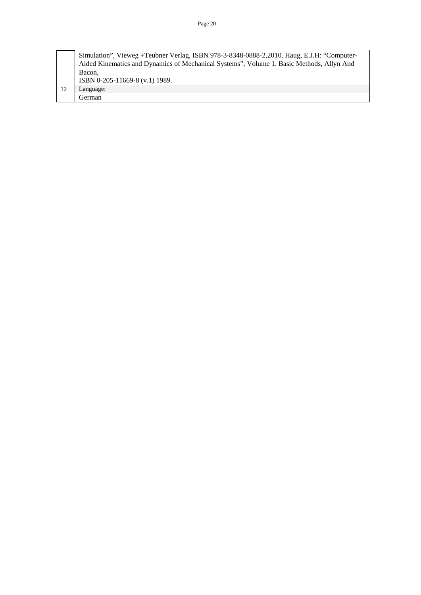| Simulation", Vieweg +Teubner Verlag, ISBN 978-3-8348-0888-2, 2010. Haug, E.J.H: "Computer-<br>Aided Kinematics and Dynamics of Mechanical Systems", Volume 1. Basic Methods, Allyn And |
|----------------------------------------------------------------------------------------------------------------------------------------------------------------------------------------|
| Bacon.<br>ISBN 0-205-11669-8 (v.1) 1989.                                                                                                                                               |
| Language:                                                                                                                                                                              |
| German                                                                                                                                                                                 |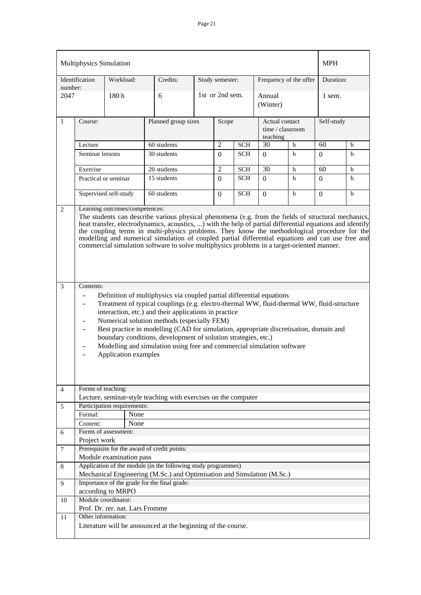| Multiphysics Simulation   |                                                                                                                                                                                                                                                                                                                                                                                                                                                                                                                                                                             |                                 |                                                                                                                                         |  |                                                                       |            |                    |                        |                | <b>MPH</b> |  |
|---------------------------|-----------------------------------------------------------------------------------------------------------------------------------------------------------------------------------------------------------------------------------------------------------------------------------------------------------------------------------------------------------------------------------------------------------------------------------------------------------------------------------------------------------------------------------------------------------------------------|---------------------------------|-----------------------------------------------------------------------------------------------------------------------------------------|--|-----------------------------------------------------------------------|------------|--------------------|------------------------|----------------|------------|--|
| Identification<br>number: |                                                                                                                                                                                                                                                                                                                                                                                                                                                                                                                                                                             | Workload:                       | Credits:                                                                                                                                |  | Study semester:                                                       |            |                    | Frequency of the offer | Duration:      |            |  |
| 2047                      |                                                                                                                                                                                                                                                                                                                                                                                                                                                                                                                                                                             | 180h                            | 6                                                                                                                                       |  | 1st or 2nd sem.                                                       |            | Annual<br>(Winter) |                        | 1 sem.         |            |  |
| $\mathbf{1}$              | Course:                                                                                                                                                                                                                                                                                                                                                                                                                                                                                                                                                                     |                                 | Planned group sizes                                                                                                                     |  | Self-study<br>Scope<br>Actual contact<br>time / classroom<br>teaching |            |                    |                        |                |            |  |
|                           | Lecture                                                                                                                                                                                                                                                                                                                                                                                                                                                                                                                                                                     |                                 | 60 students                                                                                                                             |  | $\overline{2}$                                                        | <b>SCH</b> | 30                 | h                      | 60             | h          |  |
|                           | Seminar lessons                                                                                                                                                                                                                                                                                                                                                                                                                                                                                                                                                             |                                 | 30 students                                                                                                                             |  | $\left( 0 \right)$                                                    | <b>SCH</b> | 0                  | h                      | $\Omega$       | h          |  |
|                           | Exercise                                                                                                                                                                                                                                                                                                                                                                                                                                                                                                                                                                    |                                 | 20 students                                                                                                                             |  | $\overline{2}$                                                        | <b>SCH</b> | 30                 | $\mathbf h$            | 60             | h          |  |
|                           | Practical or seminar                                                                                                                                                                                                                                                                                                                                                                                                                                                                                                                                                        |                                 | 15 students                                                                                                                             |  | $\Omega$                                                              | <b>SCH</b> | $\Omega$           | h                      | $\Omega$       | h          |  |
|                           |                                                                                                                                                                                                                                                                                                                                                                                                                                                                                                                                                                             | Supervised self-study           | 60 students                                                                                                                             |  | $\Omega$                                                              | <b>SCH</b> | $\Omega$           | h                      | $\overline{0}$ | h          |  |
|                           |                                                                                                                                                                                                                                                                                                                                                                                                                                                                                                                                                                             |                                 |                                                                                                                                         |  |                                                                       |            |                    |                        |                |            |  |
| $\overline{c}$            |                                                                                                                                                                                                                                                                                                                                                                                                                                                                                                                                                                             | Learning outcomes/competences:  |                                                                                                                                         |  |                                                                       |            |                    |                        |                |            |  |
|                           | The students can describe various physical phenomena (e.g. from the fields of structural mechanics,<br>heat transfer, electrodynamics, acoustics, ) with the help of partial differential equations and identify<br>the coupling terms in multi-physics problems. They know the methodological procedure for the<br>modelling and numerical simulation of coupled partial differential equations and can use free and<br>commercial simulation software to solve multiphysics problems in a target-oriented manner.                                                         |                                 |                                                                                                                                         |  |                                                                       |            |                    |                        |                |            |  |
| 3                         |                                                                                                                                                                                                                                                                                                                                                                                                                                                                                                                                                                             |                                 |                                                                                                                                         |  |                                                                       |            |                    |                        |                |            |  |
|                           | Contents:<br>Definition of multiphysics via coupled partial differential equations<br>Treatment of typical couplings (e.g. electro-thermal WW, fluid-thermal WW, fluid-structure<br>interaction, etc.) and their applications in practice<br>Numerical solution methods (especially FEM)<br>$\qquad \qquad -$<br>Best practice in modelling (CAD for simulation, appropriate discretisation, domain and<br>boundary conditions, development of solution strategies, etc.)<br>Modelling and simulation using free and commercial simulation software<br>Application examples |                                 |                                                                                                                                         |  |                                                                       |            |                    |                        |                |            |  |
| 4                         | Forms of teaching:                                                                                                                                                                                                                                                                                                                                                                                                                                                                                                                                                          |                                 |                                                                                                                                         |  |                                                                       |            |                    |                        |                |            |  |
| 5                         |                                                                                                                                                                                                                                                                                                                                                                                                                                                                                                                                                                             | Participation requirements:     | Lecture, seminar-style teaching with exercises on the computer                                                                          |  |                                                                       |            |                    |                        |                |            |  |
|                           | Formal:                                                                                                                                                                                                                                                                                                                                                                                                                                                                                                                                                                     | None                            |                                                                                                                                         |  |                                                                       |            |                    |                        |                |            |  |
|                           | Content:                                                                                                                                                                                                                                                                                                                                                                                                                                                                                                                                                                    | None                            |                                                                                                                                         |  |                                                                       |            |                    |                        |                |            |  |
| 6                         |                                                                                                                                                                                                                                                                                                                                                                                                                                                                                                                                                                             | Forms of assessment:            |                                                                                                                                         |  |                                                                       |            |                    |                        |                |            |  |
|                           | Project work                                                                                                                                                                                                                                                                                                                                                                                                                                                                                                                                                                |                                 |                                                                                                                                         |  |                                                                       |            |                    |                        |                |            |  |
| $\tau$                    |                                                                                                                                                                                                                                                                                                                                                                                                                                                                                                                                                                             |                                 | Prerequisite for the award of credit points:                                                                                            |  |                                                                       |            |                    |                        |                |            |  |
|                           |                                                                                                                                                                                                                                                                                                                                                                                                                                                                                                                                                                             | Module examination pass         |                                                                                                                                         |  |                                                                       |            |                    |                        |                |            |  |
| 8                         |                                                                                                                                                                                                                                                                                                                                                                                                                                                                                                                                                                             |                                 | Application of the module (in the following study programmes)<br>Mechanical Engineering (M.Sc.) and Optimisation and Simulation (M.Sc.) |  |                                                                       |            |                    |                        |                |            |  |
| 9                         |                                                                                                                                                                                                                                                                                                                                                                                                                                                                                                                                                                             |                                 | Importance of the grade for the final grade:                                                                                            |  |                                                                       |            |                    |                        |                |            |  |
|                           |                                                                                                                                                                                                                                                                                                                                                                                                                                                                                                                                                                             | according to MRPO               |                                                                                                                                         |  |                                                                       |            |                    |                        |                |            |  |
| 10                        |                                                                                                                                                                                                                                                                                                                                                                                                                                                                                                                                                                             | Module coordinator:             |                                                                                                                                         |  |                                                                       |            |                    |                        |                |            |  |
| 11                        | Other information:                                                                                                                                                                                                                                                                                                                                                                                                                                                                                                                                                          | Prof. Dr. rer. nat. Lars Fromme |                                                                                                                                         |  |                                                                       |            |                    |                        |                |            |  |
|                           |                                                                                                                                                                                                                                                                                                                                                                                                                                                                                                                                                                             |                                 | Literature will be announced at the beginning of the course.                                                                            |  |                                                                       |            |                    |                        |                |            |  |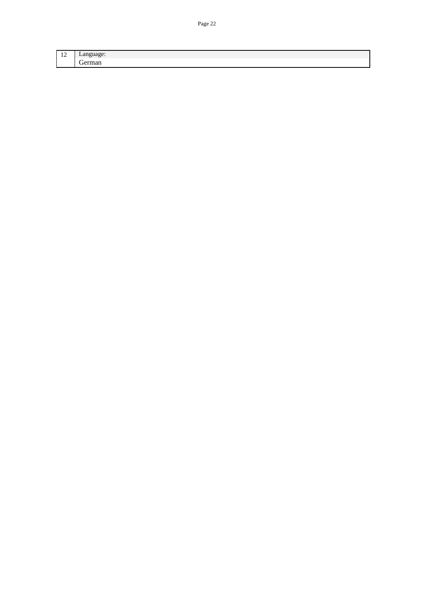| $\overline{10}$ |   |
|-----------------|---|
| $\overline{1}$  | - |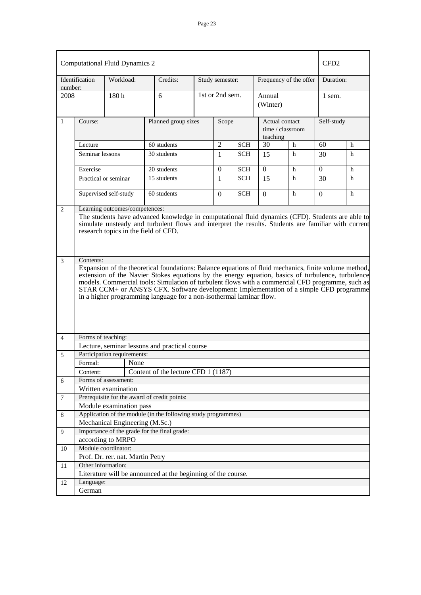| <b>Computational Fluid Dynamics 2</b> | CFD <sub>2</sub>                                                                                                                                                                                                                                                                                                                                                                                                                                                                                                                                                                                                                            |                                  |                                                               |                              |                 |            |                                                |                        |                 |            |  |  |
|---------------------------------------|---------------------------------------------------------------------------------------------------------------------------------------------------------------------------------------------------------------------------------------------------------------------------------------------------------------------------------------------------------------------------------------------------------------------------------------------------------------------------------------------------------------------------------------------------------------------------------------------------------------------------------------------|----------------------------------|---------------------------------------------------------------|------------------------------|-----------------|------------|------------------------------------------------|------------------------|-----------------|------------|--|--|
| number:                               | Identification                                                                                                                                                                                                                                                                                                                                                                                                                                                                                                                                                                                                                              | Workload:                        | Credits:                                                      |                              | Study semester: |            |                                                | Frequency of the offer | Duration:       |            |  |  |
| 2008                                  |                                                                                                                                                                                                                                                                                                                                                                                                                                                                                                                                                                                                                                             | 180 <sub>h</sub>                 | 6                                                             |                              | 1st or 2nd sem. |            | Annual<br>(Winter)                             |                        | 1 sem.          |            |  |  |
| 1                                     | Course:                                                                                                                                                                                                                                                                                                                                                                                                                                                                                                                                                                                                                                     |                                  |                                                               | Planned group sizes<br>Scope |                 |            | Actual contact<br>time / classroom<br>teaching |                        |                 | Self-study |  |  |
|                                       | Lecture                                                                                                                                                                                                                                                                                                                                                                                                                                                                                                                                                                                                                                     |                                  | 60 students                                                   |                              | $\overline{2}$  | <b>SCH</b> | $\overline{30}$                                | $\mathbf h$            | $\overline{60}$ | h          |  |  |
|                                       | Seminar lessons                                                                                                                                                                                                                                                                                                                                                                                                                                                                                                                                                                                                                             |                                  | 30 students                                                   |                              | 1               | <b>SCH</b> | 15                                             | h                      | 30              | h          |  |  |
|                                       | Exercise                                                                                                                                                                                                                                                                                                                                                                                                                                                                                                                                                                                                                                    |                                  | 20 students                                                   |                              | $\Omega$        | <b>SCH</b> | $\Omega$                                       | h                      | $\Omega$        | h          |  |  |
|                                       | Practical or seminar                                                                                                                                                                                                                                                                                                                                                                                                                                                                                                                                                                                                                        |                                  | 15 students                                                   |                              |                 | <b>SCH</b> | 15                                             | h                      | 30              | h          |  |  |
|                                       |                                                                                                                                                                                                                                                                                                                                                                                                                                                                                                                                                                                                                                             | Supervised self-study            | 60 students                                                   |                              | $\Omega$        | <b>SCH</b> | $\theta$                                       | h                      | $\Omega$        | h          |  |  |
| $\overline{3}$                        | simulate unsteady and turbulent flows and interpret the results. Students are familiar with current<br>research topics in the field of CFD.<br>Contents:<br>Expansion of the theoretical foundations: Balance equations of fluid mechanics, finite volume method,<br>extension of the Navier Stokes equations by the energy equation, basics of turbulence, turbulence<br>models. Commercial tools: Simulation of turbulent flows with a commercial CFD programme, such as<br>STAR CCM+ or ANSYS CFX. Software development: Implementation of a simple CFD programme<br>in a higher programming language for a non-isothermal laminar flow. |                                  |                                                               |                              |                 |            |                                                |                        |                 |            |  |  |
| $\overline{4}$                        | Forms of teaching:                                                                                                                                                                                                                                                                                                                                                                                                                                                                                                                                                                                                                          |                                  | Lecture, seminar lessons and practical course                 |                              |                 |            |                                                |                        |                 |            |  |  |
| 5                                     |                                                                                                                                                                                                                                                                                                                                                                                                                                                                                                                                                                                                                                             | Participation requirements:      |                                                               |                              |                 |            |                                                |                        |                 |            |  |  |
|                                       | Formal:                                                                                                                                                                                                                                                                                                                                                                                                                                                                                                                                                                                                                                     | None                             |                                                               |                              |                 |            |                                                |                        |                 |            |  |  |
|                                       | Content:                                                                                                                                                                                                                                                                                                                                                                                                                                                                                                                                                                                                                                    |                                  | Content of the lecture CFD 1 (1187)                           |                              |                 |            |                                                |                        |                 |            |  |  |
| 6                                     |                                                                                                                                                                                                                                                                                                                                                                                                                                                                                                                                                                                                                                             | Forms of assessment:             |                                                               |                              |                 |            |                                                |                        |                 |            |  |  |
|                                       |                                                                                                                                                                                                                                                                                                                                                                                                                                                                                                                                                                                                                                             | Written examination              |                                                               |                              |                 |            |                                                |                        |                 |            |  |  |
| $\tau$                                |                                                                                                                                                                                                                                                                                                                                                                                                                                                                                                                                                                                                                                             |                                  | Prerequisite for the award of credit points:                  |                              |                 |            |                                                |                        |                 |            |  |  |
|                                       |                                                                                                                                                                                                                                                                                                                                                                                                                                                                                                                                                                                                                                             | Module examination pass          |                                                               |                              |                 |            |                                                |                        |                 |            |  |  |
| 8                                     |                                                                                                                                                                                                                                                                                                                                                                                                                                                                                                                                                                                                                                             |                                  | Application of the module (in the following study programmes) |                              |                 |            |                                                |                        |                 |            |  |  |
|                                       |                                                                                                                                                                                                                                                                                                                                                                                                                                                                                                                                                                                                                                             | Mechanical Engineering (M.Sc.)   |                                                               |                              |                 |            |                                                |                        |                 |            |  |  |
| 9                                     |                                                                                                                                                                                                                                                                                                                                                                                                                                                                                                                                                                                                                                             |                                  | Importance of the grade for the final grade:                  |                              |                 |            |                                                |                        |                 |            |  |  |
|                                       |                                                                                                                                                                                                                                                                                                                                                                                                                                                                                                                                                                                                                                             | according to MRPO                |                                                               |                              |                 |            |                                                |                        |                 |            |  |  |
| 10                                    |                                                                                                                                                                                                                                                                                                                                                                                                                                                                                                                                                                                                                                             | Module coordinator:              |                                                               |                              |                 |            |                                                |                        |                 |            |  |  |
|                                       |                                                                                                                                                                                                                                                                                                                                                                                                                                                                                                                                                                                                                                             | Prof. Dr. rer. nat. Martin Petry |                                                               |                              |                 |            |                                                |                        |                 |            |  |  |
| 11                                    | Other information:                                                                                                                                                                                                                                                                                                                                                                                                                                                                                                                                                                                                                          |                                  |                                                               |                              |                 |            |                                                |                        |                 |            |  |  |
|                                       |                                                                                                                                                                                                                                                                                                                                                                                                                                                                                                                                                                                                                                             |                                  | Literature will be announced at the beginning of the course.  |                              |                 |            |                                                |                        |                 |            |  |  |
| 12                                    | Language:                                                                                                                                                                                                                                                                                                                                                                                                                                                                                                                                                                                                                                   |                                  |                                                               |                              |                 |            |                                                |                        |                 |            |  |  |
|                                       | German                                                                                                                                                                                                                                                                                                                                                                                                                                                                                                                                                                                                                                      |                                  |                                                               |                              |                 |            |                                                |                        |                 |            |  |  |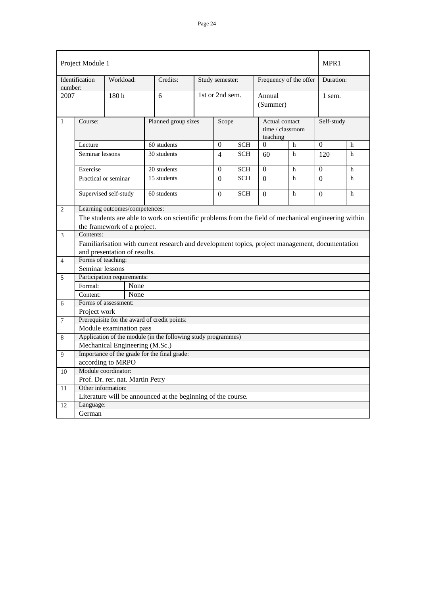| Project Module 1 |                                                                                                      |                                      |                                  |                                                                                                 |                 |                                                         |            |                        |   | MPR1           |   |  |
|------------------|------------------------------------------------------------------------------------------------------|--------------------------------------|----------------------------------|-------------------------------------------------------------------------------------------------|-----------------|---------------------------------------------------------|------------|------------------------|---|----------------|---|--|
| number:          | Identification                                                                                       | Workload:                            |                                  | Credits:                                                                                        |                 | Study semester:                                         |            | Frequency of the offer |   | Duration:      |   |  |
| 2007             |                                                                                                      | 180h                                 |                                  | 6                                                                                               | 1st or 2nd sem. |                                                         |            | Annual<br>(Summer)     |   | 1 sem.         |   |  |
| $\mathbf{1}$     | Planned group sizes<br>Course:                                                                       |                                      |                                  |                                                                                                 |                 | Scope<br>Actual contact<br>time / classroom<br>teaching |            |                        |   | Self-study     |   |  |
|                  | Lecture                                                                                              |                                      |                                  | 60 students                                                                                     |                 | $\Omega$                                                | <b>SCH</b> | $\theta$               | h | $\overline{0}$ | h |  |
|                  | Seminar lessons                                                                                      |                                      |                                  | 30 students                                                                                     |                 | 4                                                       | <b>SCH</b> | 60                     | h | 120            | h |  |
|                  | Exercise                                                                                             |                                      |                                  | 20 students                                                                                     |                 | $\overline{0}$                                          | <b>SCH</b> | $\boldsymbol{0}$       | h | $\overline{0}$ | h |  |
|                  | Practical or seminar                                                                                 |                                      |                                  | 15 students                                                                                     |                 | $\Omega$                                                | <b>SCH</b> | $\mathbf{0}$           | h | $\Omega$       | h |  |
|                  |                                                                                                      | Supervised self-study<br>60 students |                                  |                                                                                                 |                 | 0                                                       | <b>SCH</b> | $\Omega$               | h | $\mathbf{0}$   | h |  |
| $\overline{2}$   | Learning outcomes/competences:                                                                       |                                      |                                  |                                                                                                 |                 |                                                         |            |                        |   |                |   |  |
|                  | The students are able to work on scientific problems from the field of mechanical engineering within |                                      |                                  |                                                                                                 |                 |                                                         |            |                        |   |                |   |  |
|                  | the framework of a project.                                                                          |                                      |                                  |                                                                                                 |                 |                                                         |            |                        |   |                |   |  |
| 3                | Contents:                                                                                            |                                      |                                  |                                                                                                 |                 |                                                         |            |                        |   |                |   |  |
|                  |                                                                                                      |                                      |                                  | Familiarisation with current research and development topics, project management, documentation |                 |                                                         |            |                        |   |                |   |  |
|                  |                                                                                                      |                                      | and presentation of results.     |                                                                                                 |                 |                                                         |            |                        |   |                |   |  |
| $\overline{4}$   | Forms of teaching:                                                                                   |                                      |                                  |                                                                                                 |                 |                                                         |            |                        |   |                |   |  |
|                  | Seminar lessons                                                                                      |                                      |                                  |                                                                                                 |                 |                                                         |            |                        |   |                |   |  |
| 5                | Participation requirements:                                                                          |                                      |                                  |                                                                                                 |                 |                                                         |            |                        |   |                |   |  |
|                  | Formal:                                                                                              |                                      | None                             |                                                                                                 |                 |                                                         |            |                        |   |                |   |  |
|                  | Content:                                                                                             |                                      | None                             |                                                                                                 |                 |                                                         |            |                        |   |                |   |  |
| 6                | Forms of assessment:                                                                                 |                                      |                                  |                                                                                                 |                 |                                                         |            |                        |   |                |   |  |
|                  | Project work                                                                                         |                                      |                                  |                                                                                                 |                 |                                                         |            |                        |   |                |   |  |
| $\tau$           |                                                                                                      |                                      |                                  | Prerequisite for the award of credit points:                                                    |                 |                                                         |            |                        |   |                |   |  |
|                  |                                                                                                      |                                      | Module examination pass          |                                                                                                 |                 |                                                         |            |                        |   |                |   |  |
| 8                |                                                                                                      |                                      |                                  | Application of the module (in the following study programmes)                                   |                 |                                                         |            |                        |   |                |   |  |
|                  |                                                                                                      |                                      | Mechanical Engineering (M.Sc.)   |                                                                                                 |                 |                                                         |            |                        |   |                |   |  |
| 9                | according to MRPO                                                                                    |                                      |                                  | Importance of the grade for the final grade:                                                    |                 |                                                         |            |                        |   |                |   |  |
| $10\,$           | Module coordinator:                                                                                  |                                      |                                  |                                                                                                 |                 |                                                         |            |                        |   |                |   |  |
|                  |                                                                                                      |                                      | Prof. Dr. rer. nat. Martin Petry |                                                                                                 |                 |                                                         |            |                        |   |                |   |  |
| 11               | Other information:                                                                                   |                                      |                                  |                                                                                                 |                 |                                                         |            |                        |   |                |   |  |
|                  |                                                                                                      |                                      |                                  | Literature will be announced at the beginning of the course.                                    |                 |                                                         |            |                        |   |                |   |  |
| 12               | Language:                                                                                            |                                      |                                  |                                                                                                 |                 |                                                         |            |                        |   |                |   |  |
|                  | German                                                                                               |                                      |                                  |                                                                                                 |                 |                                                         |            |                        |   |                |   |  |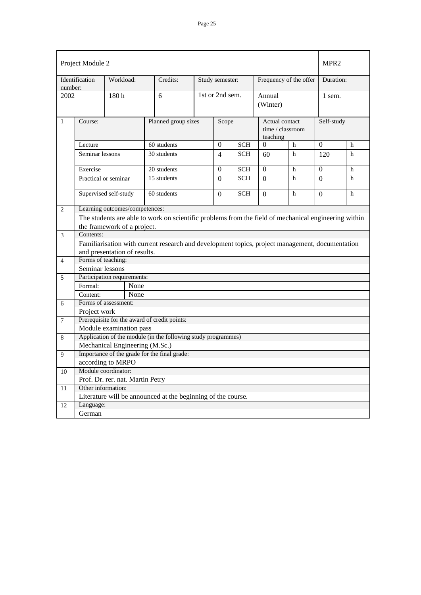| Project Module 2 |                                                                                                      |           |                                  |                                                                                                 |          |                                                |            |                        |          |                |   |
|------------------|------------------------------------------------------------------------------------------------------|-----------|----------------------------------|-------------------------------------------------------------------------------------------------|----------|------------------------------------------------|------------|------------------------|----------|----------------|---|
|                  | Identification                                                                                       | Workload: |                                  | Credits:                                                                                        |          | Study semester:                                |            | Frequency of the offer |          | Duration:      |   |
| number:          | 2002                                                                                                 |           |                                  | 6                                                                                               |          | 1st or 2nd sem.                                |            | Annual<br>(Winter)     |          | 1 sem.         |   |
| 1                | Course:                                                                                              |           | Planned group sizes              | Scope                                                                                           |          | Actual contact<br>time / classroom<br>teaching |            | Self-study             |          |                |   |
|                  | Lecture                                                                                              |           |                                  | 60 students                                                                                     |          | $\Omega$                                       | <b>SCH</b> | $\Omega$               | h        | $\Omega$       | h |
|                  | Seminar lessons                                                                                      |           |                                  | 30 students                                                                                     |          | $\overline{4}$                                 | <b>SCH</b> | 60                     | h        | 120            | h |
|                  | Exercise                                                                                             |           |                                  | 20 students                                                                                     |          | $\mathbf{0}$                                   | <b>SCH</b> | $\Omega$               | h        | $\overline{0}$ | h |
|                  | Practical or seminar                                                                                 |           |                                  | 15 students                                                                                     |          | $\Omega$                                       | <b>SCH</b> | $\Omega$               | h        | $\Omega$       | h |
|                  | Supervised self-study<br>60 students                                                                 |           |                                  |                                                                                                 | $\Omega$ | <b>SCH</b>                                     | $\Omega$   | h                      | $\Omega$ | h              |   |
| 2                |                                                                                                      |           | Learning outcomes/competences:   |                                                                                                 |          |                                                |            |                        |          |                |   |
|                  | The students are able to work on scientific problems from the field of mechanical engineering within |           |                                  |                                                                                                 |          |                                                |            |                        |          |                |   |
|                  | the framework of a project.                                                                          |           |                                  |                                                                                                 |          |                                                |            |                        |          |                |   |
| 3                | Contents:                                                                                            |           |                                  |                                                                                                 |          |                                                |            |                        |          |                |   |
|                  |                                                                                                      |           |                                  | Familiarisation with current research and development topics, project management, documentation |          |                                                |            |                        |          |                |   |
|                  |                                                                                                      |           | and presentation of results.     |                                                                                                 |          |                                                |            |                        |          |                |   |
| $\overline{4}$   | Forms of teaching:                                                                                   |           |                                  |                                                                                                 |          |                                                |            |                        |          |                |   |
|                  | Seminar lessons                                                                                      |           |                                  |                                                                                                 |          |                                                |            |                        |          |                |   |
| 5                | Participation requirements:                                                                          |           |                                  |                                                                                                 |          |                                                |            |                        |          |                |   |
|                  | Formal:                                                                                              |           | None                             |                                                                                                 |          |                                                |            |                        |          |                |   |
|                  | Content:                                                                                             |           | None                             |                                                                                                 |          |                                                |            |                        |          |                |   |
| 6                | Forms of assessment:                                                                                 |           |                                  |                                                                                                 |          |                                                |            |                        |          |                |   |
|                  | Project work                                                                                         |           |                                  |                                                                                                 |          |                                                |            |                        |          |                |   |
| $\overline{7}$   | Module examination pass                                                                              |           |                                  | Prerequisite for the award of credit points:                                                    |          |                                                |            |                        |          |                |   |
| 8                |                                                                                                      |           |                                  | Application of the module (in the following study programmes)                                   |          |                                                |            |                        |          |                |   |
|                  |                                                                                                      |           | Mechanical Engineering (M.Sc.)   |                                                                                                 |          |                                                |            |                        |          |                |   |
| 9                |                                                                                                      |           |                                  | Importance of the grade for the final grade:                                                    |          |                                                |            |                        |          |                |   |
|                  | according to MRPO                                                                                    |           |                                  |                                                                                                 |          |                                                |            |                        |          |                |   |
| 10               | Module coordinator:                                                                                  |           |                                  |                                                                                                 |          |                                                |            |                        |          |                |   |
|                  |                                                                                                      |           | Prof. Dr. rer. nat. Martin Petry |                                                                                                 |          |                                                |            |                        |          |                |   |
| 11               | Other information:                                                                                   |           |                                  |                                                                                                 |          |                                                |            |                        |          |                |   |
|                  |                                                                                                      |           |                                  | Literature will be announced at the beginning of the course.                                    |          |                                                |            |                        |          |                |   |
| 12               | Language:                                                                                            |           |                                  |                                                                                                 |          |                                                |            |                        |          |                |   |
|                  | German                                                                                               |           |                                  |                                                                                                 |          |                                                |            |                        |          |                |   |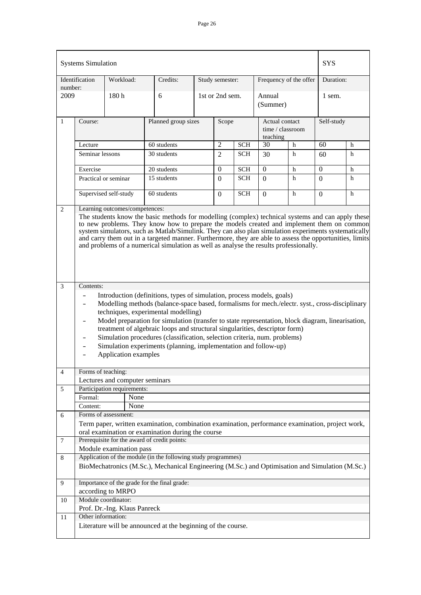|                                        | <b>Systems Simulation</b>                                                                                                                                                                                                                                                                                                                                                                                                                                                                                  |                                          |                                                                                                                                              |                                         |                 |                        |                                                |             | <b>SYS</b>       |   |  |
|----------------------------------------|------------------------------------------------------------------------------------------------------------------------------------------------------------------------------------------------------------------------------------------------------------------------------------------------------------------------------------------------------------------------------------------------------------------------------------------------------------------------------------------------------------|------------------------------------------|----------------------------------------------------------------------------------------------------------------------------------------------|-----------------------------------------|-----------------|------------------------|------------------------------------------------|-------------|------------------|---|--|
| Workload:<br>Identification<br>number: |                                                                                                                                                                                                                                                                                                                                                                                                                                                                                                            | Credits:                                 |                                                                                                                                              | Study semester:                         |                 | Frequency of the offer |                                                | Duration:   |                  |   |  |
| 2009                                   |                                                                                                                                                                                                                                                                                                                                                                                                                                                                                                            | 180h                                     | 6                                                                                                                                            |                                         | 1st or 2nd sem. |                        | Annual<br>(Summer)                             |             | 1 sem.           |   |  |
| $\mathbf{1}$                           | Course:                                                                                                                                                                                                                                                                                                                                                                                                                                                                                                    |                                          |                                                                                                                                              | Planned group sizes<br>Scope            |                 |                        | Actual contact<br>time / classroom<br>teaching |             | Self-study       |   |  |
|                                        | Lecture                                                                                                                                                                                                                                                                                                                                                                                                                                                                                                    |                                          | 60 students                                                                                                                                  | $\overline{2}$<br>30<br><b>SCH</b><br>h |                 |                        |                                                | 60          | h                |   |  |
|                                        | Seminar lessons                                                                                                                                                                                                                                                                                                                                                                                                                                                                                            |                                          | 30 students                                                                                                                                  |                                         | $\overline{2}$  | <b>SCH</b>             | 30                                             | h           | 60               | h |  |
|                                        | Exercise                                                                                                                                                                                                                                                                                                                                                                                                                                                                                                   |                                          | 20 students                                                                                                                                  |                                         | $\theta$        | <b>SCH</b>             | $\theta$                                       | h           | $\boldsymbol{0}$ | h |  |
|                                        | Practical or seminar                                                                                                                                                                                                                                                                                                                                                                                                                                                                                       |                                          | 15 students                                                                                                                                  |                                         | 0               | <b>SCH</b>             | $\Omega$                                       | h           | $\Omega$         | h |  |
|                                        |                                                                                                                                                                                                                                                                                                                                                                                                                                                                                                            | Supervised self-study                    | 60 students                                                                                                                                  |                                         | $\Omega$        | <b>SCH</b>             | $\Omega$                                       | $\mathbf h$ | $\Omega$         | h |  |
| 2                                      |                                                                                                                                                                                                                                                                                                                                                                                                                                                                                                            | Learning outcomes/competences:           |                                                                                                                                              |                                         |                 |                        |                                                |             |                  |   |  |
|                                        | The students know the basic methods for modelling (complex) technical systems and can apply these<br>to new problems. They know how to prepare the models created and implement them on common<br>system simulators, such as Matlab/Simulink. They can also plan simulation experiments systematically<br>and carry them out in a targeted manner. Furthermore, they are able to assess the opportunities, limits<br>and problems of a numerical simulation as well as analyse the results professionally. |                                          |                                                                                                                                              |                                         |                 |                        |                                                |             |                  |   |  |
| 3                                      | Contents:                                                                                                                                                                                                                                                                                                                                                                                                                                                                                                  |                                          |                                                                                                                                              |                                         |                 |                        |                                                |             |                  |   |  |
|                                        | Introduction (definitions, types of simulation, process models, goals)                                                                                                                                                                                                                                                                                                                                                                                                                                     |                                          |                                                                                                                                              |                                         |                 |                        |                                                |             |                  |   |  |
|                                        | Modelling methods (balance-space based, formalisms for mech./electr. syst., cross-disciplinary                                                                                                                                                                                                                                                                                                                                                                                                             |                                          |                                                                                                                                              |                                         |                 |                        |                                                |             |                  |   |  |
|                                        |                                                                                                                                                                                                                                                                                                                                                                                                                                                                                                            |                                          | techniques, experimental modelling)                                                                                                          |                                         |                 |                        |                                                |             |                  |   |  |
|                                        | $\overline{\phantom{0}}$                                                                                                                                                                                                                                                                                                                                                                                                                                                                                   |                                          | Model preparation for simulation (transfer to state representation, block diagram, linearisation,                                            |                                         |                 |                        |                                                |             |                  |   |  |
|                                        |                                                                                                                                                                                                                                                                                                                                                                                                                                                                                                            |                                          | treatment of algebraic loops and structural singularities, descriptor form)                                                                  |                                         |                 |                        |                                                |             |                  |   |  |
|                                        |                                                                                                                                                                                                                                                                                                                                                                                                                                                                                                            |                                          | Simulation procedures (classification, selection criteria, num. problems)<br>Simulation experiments (planning, implementation and follow-up) |                                         |                 |                        |                                                |             |                  |   |  |
|                                        |                                                                                                                                                                                                                                                                                                                                                                                                                                                                                                            | Application examples                     |                                                                                                                                              |                                         |                 |                        |                                                |             |                  |   |  |
|                                        |                                                                                                                                                                                                                                                                                                                                                                                                                                                                                                            |                                          |                                                                                                                                              |                                         |                 |                        |                                                |             |                  |   |  |
| 4                                      | Forms of teaching:                                                                                                                                                                                                                                                                                                                                                                                                                                                                                         |                                          |                                                                                                                                              |                                         |                 |                        |                                                |             |                  |   |  |
|                                        |                                                                                                                                                                                                                                                                                                                                                                                                                                                                                                            | Lectures and computer seminars           |                                                                                                                                              |                                         |                 |                        |                                                |             |                  |   |  |
| 5                                      | Formal:                                                                                                                                                                                                                                                                                                                                                                                                                                                                                                    | Participation requirements:<br>None      |                                                                                                                                              |                                         |                 |                        |                                                |             |                  |   |  |
|                                        | Content:                                                                                                                                                                                                                                                                                                                                                                                                                                                                                                   | None                                     |                                                                                                                                              |                                         |                 |                        |                                                |             |                  |   |  |
| 6                                      |                                                                                                                                                                                                                                                                                                                                                                                                                                                                                                            | Forms of assessment:                     |                                                                                                                                              |                                         |                 |                        |                                                |             |                  |   |  |
|                                        |                                                                                                                                                                                                                                                                                                                                                                                                                                                                                                            |                                          | Term paper, written examination, combination examination, performance examination, project work,                                             |                                         |                 |                        |                                                |             |                  |   |  |
|                                        |                                                                                                                                                                                                                                                                                                                                                                                                                                                                                                            |                                          | oral examination or examination during the course                                                                                            |                                         |                 |                        |                                                |             |                  |   |  |
| 7                                      |                                                                                                                                                                                                                                                                                                                                                                                                                                                                                                            |                                          | Prerequisite for the award of credit points:                                                                                                 |                                         |                 |                        |                                                |             |                  |   |  |
|                                        |                                                                                                                                                                                                                                                                                                                                                                                                                                                                                                            | Module examination pass                  | Application of the module (in the following study programmes)                                                                                |                                         |                 |                        |                                                |             |                  |   |  |
| 8                                      |                                                                                                                                                                                                                                                                                                                                                                                                                                                                                                            |                                          | BioMechatronics (M.Sc.), Mechanical Engineering (M.Sc.) and Optimisation and Simulation (M.Sc.)                                              |                                         |                 |                        |                                                |             |                  |   |  |
| 9                                      |                                                                                                                                                                                                                                                                                                                                                                                                                                                                                                            |                                          | Importance of the grade for the final grade:                                                                                                 |                                         |                 |                        |                                                |             |                  |   |  |
|                                        |                                                                                                                                                                                                                                                                                                                                                                                                                                                                                                            | according to MRPO<br>Module coordinator: |                                                                                                                                              |                                         |                 |                        |                                                |             |                  |   |  |
| 10                                     |                                                                                                                                                                                                                                                                                                                                                                                                                                                                                                            | Prof. Dr.-Ing. Klaus Panreck             |                                                                                                                                              |                                         |                 |                        |                                                |             |                  |   |  |
| 11                                     | Other information:                                                                                                                                                                                                                                                                                                                                                                                                                                                                                         |                                          |                                                                                                                                              |                                         |                 |                        |                                                |             |                  |   |  |
|                                        |                                                                                                                                                                                                                                                                                                                                                                                                                                                                                                            |                                          | Literature will be announced at the beginning of the course.                                                                                 |                                         |                 |                        |                                                |             |                  |   |  |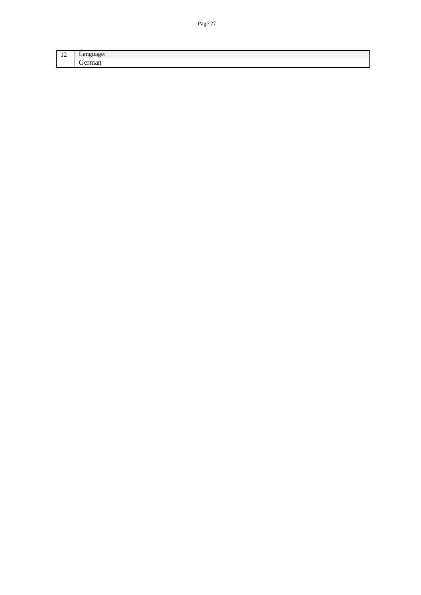| $\sim$<br>$\overline{\phantom{0}}$ |   |
|------------------------------------|---|
|                                    | - |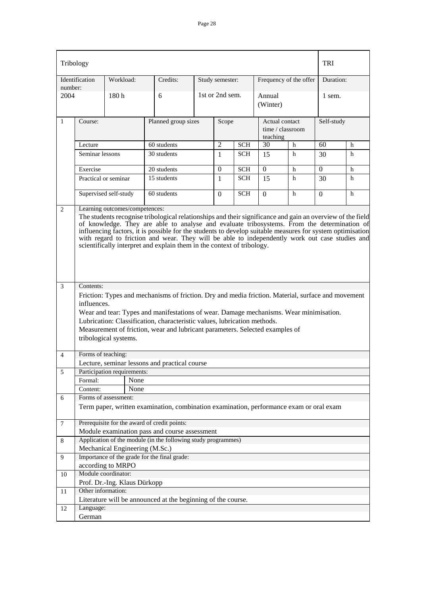| Tribology      |                                                                                                                                                                                                                                                                                                                                                                                                                                                                                                                                      |                                |                                                                                                                |  |                 |            |                            |                        |                | <b>TRI</b> |  |
|----------------|--------------------------------------------------------------------------------------------------------------------------------------------------------------------------------------------------------------------------------------------------------------------------------------------------------------------------------------------------------------------------------------------------------------------------------------------------------------------------------------------------------------------------------------|--------------------------------|----------------------------------------------------------------------------------------------------------------|--|-----------------|------------|----------------------------|------------------------|----------------|------------|--|
| number:        | Identification                                                                                                                                                                                                                                                                                                                                                                                                                                                                                                                       | Workload:                      | Credits:                                                                                                       |  | Study semester: |            |                            | Frequency of the offer | Duration:      |            |  |
| 2004           |                                                                                                                                                                                                                                                                                                                                                                                                                                                                                                                                      | 180h                           | 6                                                                                                              |  | 1st or 2nd sem. |            | Annual<br>(Winter)         |                        | 1 sem.         |            |  |
| $\mathbf{1}$   | Course:                                                                                                                                                                                                                                                                                                                                                                                                                                                                                                                              |                                | Planned group sizes                                                                                            |  | Scope           |            | Actual contact<br>teaching | time / classroom       | Self-study     |            |  |
|                | Lecture                                                                                                                                                                                                                                                                                                                                                                                                                                                                                                                              |                                | 60 students                                                                                                    |  | $\overline{2}$  | <b>SCH</b> | 30                         | h                      | 60             | h          |  |
|                | Seminar lessons                                                                                                                                                                                                                                                                                                                                                                                                                                                                                                                      |                                | 30 students                                                                                                    |  | 1               | <b>SCH</b> | 15                         | h                      | 30             | h          |  |
|                | Exercise                                                                                                                                                                                                                                                                                                                                                                                                                                                                                                                             |                                | $20$ students                                                                                                  |  | $\Omega$        | <b>SCH</b> | $\mathbf{0}$               | h                      | $\Omega$       | h          |  |
|                |                                                                                                                                                                                                                                                                                                                                                                                                                                                                                                                                      | Practical or seminar           | 15 students                                                                                                    |  | 1               | <b>SCH</b> | 15                         | h                      | 30             | h          |  |
|                |                                                                                                                                                                                                                                                                                                                                                                                                                                                                                                                                      | Supervised self-study          | 60 students                                                                                                    |  | $\Omega$        | <b>SCH</b> | $\Omega$                   | h                      | $\overline{0}$ | h          |  |
| 2              | Learning outcomes/competences:<br>The students recognise tribological relationships and their significance and gain an overview of the field<br>of knowledge. They are able to analyse and evaluate tribosystems. From the determination of<br>influencing factors, it is possible for the students to develop suitable measures for system optimisation<br>with regard to friction and wear. They will be able to independently work out case studies and<br>scientifically interpret and explain them in the context of tribology. |                                |                                                                                                                |  |                 |            |                            |                        |                |            |  |
| 3              | Contents:<br>Friction: Types and mechanisms of friction. Dry and media friction. Material, surface and movement<br>influences.<br>Wear and tear: Types and manifestations of wear. Damage mechanisms. Wear minimisation.<br>Lubrication: Classification, characteristic values, lubrication methods.<br>Measurement of friction, wear and lubricant parameters. Selected examples of<br>tribological systems.                                                                                                                        |                                |                                                                                                                |  |                 |            |                            |                        |                |            |  |
| $\overline{4}$ | Forms of teaching:                                                                                                                                                                                                                                                                                                                                                                                                                                                                                                                   |                                |                                                                                                                |  |                 |            |                            |                        |                |            |  |
| 5              |                                                                                                                                                                                                                                                                                                                                                                                                                                                                                                                                      | Participation requirements:    | Lecture, seminar lessons and practical course                                                                  |  |                 |            |                            |                        |                |            |  |
|                | Formal:                                                                                                                                                                                                                                                                                                                                                                                                                                                                                                                              | None                           |                                                                                                                |  |                 |            |                            |                        |                |            |  |
|                | Content:                                                                                                                                                                                                                                                                                                                                                                                                                                                                                                                             | None                           |                                                                                                                |  |                 |            |                            |                        |                |            |  |
| 6              |                                                                                                                                                                                                                                                                                                                                                                                                                                                                                                                                      | Forms of assessment:           |                                                                                                                |  |                 |            |                            |                        |                |            |  |
|                |                                                                                                                                                                                                                                                                                                                                                                                                                                                                                                                                      |                                | Term paper, written examination, combination examination, performance exam or oral exam                        |  |                 |            |                            |                        |                |            |  |
| $\overline{7}$ |                                                                                                                                                                                                                                                                                                                                                                                                                                                                                                                                      |                                | Prerequisite for the award of credit points:                                                                   |  |                 |            |                            |                        |                |            |  |
|                |                                                                                                                                                                                                                                                                                                                                                                                                                                                                                                                                      |                                | Module examination pass and course assessment<br>Application of the module (in the following study programmes) |  |                 |            |                            |                        |                |            |  |
| 8              |                                                                                                                                                                                                                                                                                                                                                                                                                                                                                                                                      | Mechanical Engineering (M.Sc.) |                                                                                                                |  |                 |            |                            |                        |                |            |  |
| 9              |                                                                                                                                                                                                                                                                                                                                                                                                                                                                                                                                      |                                | Importance of the grade for the final grade:                                                                   |  |                 |            |                            |                        |                |            |  |
|                |                                                                                                                                                                                                                                                                                                                                                                                                                                                                                                                                      | according to MRPO              |                                                                                                                |  |                 |            |                            |                        |                |            |  |
| 10             |                                                                                                                                                                                                                                                                                                                                                                                                                                                                                                                                      | Module coordinator:            |                                                                                                                |  |                 |            |                            |                        |                |            |  |
|                |                                                                                                                                                                                                                                                                                                                                                                                                                                                                                                                                      | Prof. Dr.-Ing. Klaus Dürkopp   |                                                                                                                |  |                 |            |                            |                        |                |            |  |
| 11             | Other information:                                                                                                                                                                                                                                                                                                                                                                                                                                                                                                                   |                                |                                                                                                                |  |                 |            |                            |                        |                |            |  |
|                |                                                                                                                                                                                                                                                                                                                                                                                                                                                                                                                                      |                                | Literature will be announced at the beginning of the course.                                                   |  |                 |            |                            |                        |                |            |  |
| 12             | Language:                                                                                                                                                                                                                                                                                                                                                                                                                                                                                                                            |                                |                                                                                                                |  |                 |            |                            |                        |                |            |  |
|                | German                                                                                                                                                                                                                                                                                                                                                                                                                                                                                                                               |                                |                                                                                                                |  |                 |            |                            |                        |                |            |  |